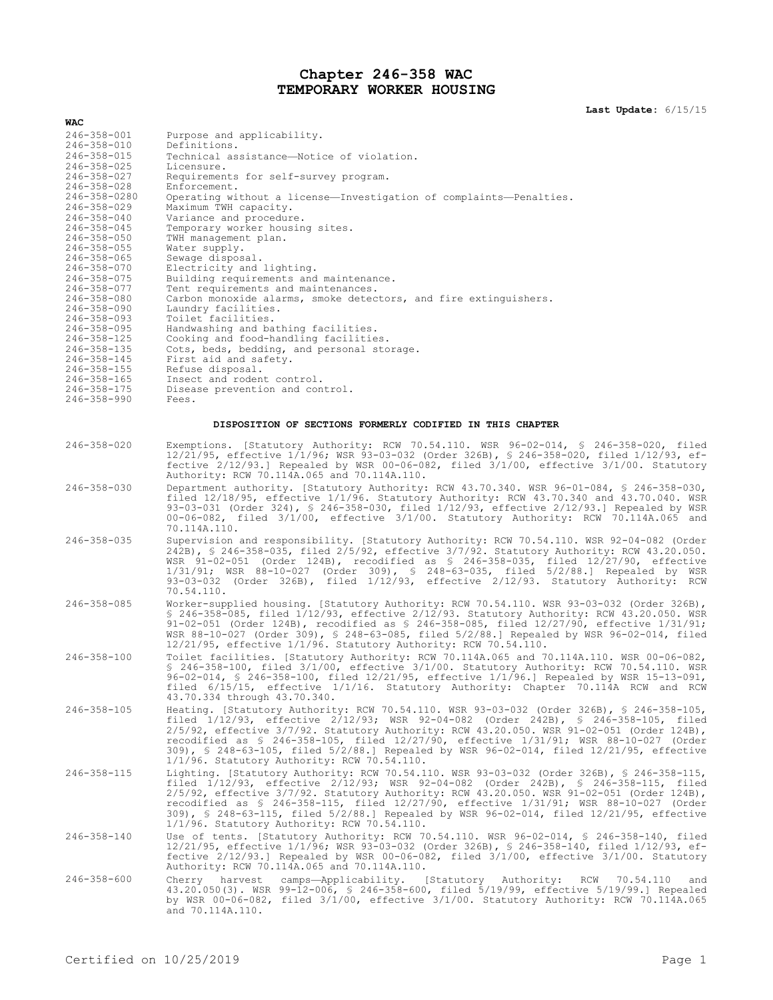# **Chapter 246-358 WAC TEMPORARY WORKER HOUSING**

**Last Update:** 6/15/15

| WAC                                    |                                                                                                                                                                                                                                                                                                                                                                                                                                                                                                                         |
|----------------------------------------|-------------------------------------------------------------------------------------------------------------------------------------------------------------------------------------------------------------------------------------------------------------------------------------------------------------------------------------------------------------------------------------------------------------------------------------------------------------------------------------------------------------------------|
| 246-358-001                            | Purpose and applicability.                                                                                                                                                                                                                                                                                                                                                                                                                                                                                              |
| $246 - 358 - 010$<br>$246 - 358 - 015$ | Definitions.<br>Technical assistance—Notice of violation.                                                                                                                                                                                                                                                                                                                                                                                                                                                               |
| 246-358-025                            | Licensure.                                                                                                                                                                                                                                                                                                                                                                                                                                                                                                              |
| $246 - 358 - 027$                      | Requirements for self-survey program.                                                                                                                                                                                                                                                                                                                                                                                                                                                                                   |
| $246 - 358 - 028$<br>246-358-0280      | Enforcement.<br>Operating without a license-Investigation of complaints-Penalties.                                                                                                                                                                                                                                                                                                                                                                                                                                      |
| $246 - 358 - 029$                      | Maximum TWH capacity.                                                                                                                                                                                                                                                                                                                                                                                                                                                                                                   |
| $246 - 358 - 040$                      | Variance and procedure.                                                                                                                                                                                                                                                                                                                                                                                                                                                                                                 |
| 246-358-045<br>$246 - 358 - 050$       | Temporary worker housing sites.<br>TWH management plan.                                                                                                                                                                                                                                                                                                                                                                                                                                                                 |
| 246-358-055                            | Water supply.                                                                                                                                                                                                                                                                                                                                                                                                                                                                                                           |
| $246 - 358 - 065$                      | Sewage disposal.                                                                                                                                                                                                                                                                                                                                                                                                                                                                                                        |
| $246 - 358 - 070$<br>246-358-075       | Electricity and lighting.<br>Building requirements and maintenance.                                                                                                                                                                                                                                                                                                                                                                                                                                                     |
| 246-358-077                            | Tent requirements and maintenances.                                                                                                                                                                                                                                                                                                                                                                                                                                                                                     |
| $246 - 358 - 080$<br>246-358-090       | Carbon monoxide alarms, smoke detectors, and fire extinguishers.                                                                                                                                                                                                                                                                                                                                                                                                                                                        |
| $246 - 358 - 093$                      | Laundry facilities.<br>Toilet facilities.                                                                                                                                                                                                                                                                                                                                                                                                                                                                               |
| $246 - 358 - 095$                      | Handwashing and bathing facilities.                                                                                                                                                                                                                                                                                                                                                                                                                                                                                     |
| 246-358-125<br>$246 - 358 - 135$       | Cooking and food-handling facilities.<br>Cots, beds, bedding, and personal storage.                                                                                                                                                                                                                                                                                                                                                                                                                                     |
| $246 - 358 - 145$                      | First aid and safety.                                                                                                                                                                                                                                                                                                                                                                                                                                                                                                   |
| $246 - 358 - 155$                      | Refuse disposal.                                                                                                                                                                                                                                                                                                                                                                                                                                                                                                        |
| $246 - 358 - 165$<br>$246 - 358 - 175$ | Insect and rodent control.<br>Disease prevention and control.                                                                                                                                                                                                                                                                                                                                                                                                                                                           |
| $246 - 358 - 990$                      | Fees.                                                                                                                                                                                                                                                                                                                                                                                                                                                                                                                   |
|                                        | DISPOSITION OF SECTIONS FORMERLY CODIFIED IN THIS CHAPTER                                                                                                                                                                                                                                                                                                                                                                                                                                                               |
|                                        |                                                                                                                                                                                                                                                                                                                                                                                                                                                                                                                         |
| $246 - 358 - 020$                      | Exemptions. [Statutory Authority: RCW 70.54.110. WSR 96-02-014, § 246-358-020, filed<br>12/21/95, effective 1/1/96; WSR 93-03-032 (Order 326B), § 246-358-020, filed 1/12/93, ef-<br>fective $2/12/93$ .] Repealed by WSR 00-06-082, filed $3/1/00$ , effective $3/1/00$ . Statutory<br>Authority: RCW 70.114A.065 and 70.114A.110.                                                                                                                                                                                     |
| $246 - 358 - 030$                      | Department authority. [Statutory Authority: RCW 43.70.340. WSR 96-01-084, \$ 246-358-030,<br>filed $12/18/95$ , effective $1/1/96$ . Statutory Authority: RCW 43.70.340 and 43.70.040. WSR<br>93-03-031 (Order 324), § 246-358-030, filed 1/12/93, effective 2/12/93.] Repealed by WSR<br>00-06-082, filed 3/1/00, effective 3/1/00. Statutory Authority: RCW 70.114A.065 and<br>70.114A.110.                                                                                                                           |
| $246 - 358 - 035$                      | Supervision and responsibility. [Statutory Authority: RCW 70.54.110. WSR 92-04-082 (Order<br>242B), § 246-358-035, filed 2/5/92, effective 3/7/92. Statutory Authority: RCW 43.20.050.<br>WSR $91-02-051$ (Order 124B), recodified as § 246-358-035, filed 12/27/90, effective<br>1/31/91; WSR 88-10-027 (Order 309), § 248-63-035, filed 5/2/88.] Repealed by WSR<br>93-03-032 (Order 326B), filed 1/12/93, effective 2/12/93. Statutory Authority: RCW<br>70.54.110.                                                  |
| 246-358-085                            | Worker-supplied housing. [Statutory Authority: RCW 70.54.110. WSR 93-03-032 (Order 326B),<br>\$ 246-358-085, filed 1/12/93, effective 2/12/93. Statutory Authority: RCW 43.20.050. WSR<br>91-02-051 (Order 124B), recodified as $$246-358-085$ , filed $12/27/90$ , effective $1/31/91$ ;<br>WSR 88-10-027 (Order 309), § 248-63-085, filed 5/2/88.] Repealed by WSR 96-02-014, filed<br>$12/21/95$ , effective $1/1/96$ . Statutory Authority: RCW 70.54.110.                                                          |
| $246 - 358 - 100$                      | Toilet facilities. [Statutory Authority: RCW 70.114A.065 and 70.114A.110. WSR 00-06-082,<br>$$246-358-100$ , filed $3/1/00$ , effective $3/1/00$ . Statutory Authority: RCW 70.54.110. WSR<br>96-02-014, \$ 246-358-100, filed 12/21/95, effective 1/1/96.] Repealed by WSR 15-13-091,<br>filed 6/15/15, effective 1/1/16. Statutory Authority: Chapter 70.114A RCW and RCW<br>43.70.334 through 43.70.340.                                                                                                             |
| $246 - 358 - 105$                      | Heating. [Statutory Authority: RCW 70.54.110. WSR 93-03-032 (Order 326B), § 246-358-105,<br>filed 1/12/93, effective 2/12/93; WSR 92-04-082 (Order 242B), § 246-358-105, filed<br>2/5/92, effective 3/7/92. Statutory Authority: RCW 43.20.050. WSR 91-02-051 (Order 124B),<br>recodified as \$ 246-358-105, filed 12/27/90, effective 1/31/91; WSR 88-10-027 (Order<br>309), § 248-63-105, filed 5/2/88.] Repealed by WSR 96-02-014, filed 12/21/95, effective<br>1/1/96. Statutory Authority: RCW 70.54.110.          |
| 246-358-115                            | Lighting. [Statutory Authority: RCW 70.54.110. WSR 93-03-032 (Order 326B), \$ 246-358-115,<br>filed 1/12/93, effective 2/12/93; WSR 92-04-082 (Order 242B), § 246-358-115, filed<br>$2/5/92$ , effective $3/7/92$ . Statutory Authority: RCW 43.20.050. WSR 91-02-051 (Order 124B),<br>recodified as \$ 246-358-115, filed 12/27/90, effective 1/31/91; WSR 88-10-027 (Order<br>309), \$ 248-63-115, filed 5/2/88.] Repealed by WSR 96-02-014, filed 12/21/95, effective<br>1/1/96. Statutory Authority: RCW 70.54.110. |
| $246 - 358 - 140$                      | Use of tents. [Statutory Authority: RCW 70.54.110. WSR 96-02-014, \$ 246-358-140, filed<br>12/21/95, effective 1/1/96; WSR 93-03-032 (Order 326B), § 246-358-140, filed 1/12/93, ef-<br>fective $2/12/93$ .] Repealed by WSR 00-06-082, filed $3/1/00$ , effective $3/1/00$ . Statutory<br>Authority: RCW 70.114A.065 and 70.114A.110.                                                                                                                                                                                  |
| $246 - 358 - 600$                      | harvest<br>camps-Applicability. [Statutory Authority: RCW<br>Cherry<br>70.54.110<br>and<br>43.20.050(3). WSR 99-12-006, § 246-358-600, filed 5/19/99, effective 5/19/99.] Repealed<br>by WSR 00-06-082, filed 3/1/00, effective 3/1/00. Statutory Authority: RCW 70.114A.065<br>and 70.114A.110.                                                                                                                                                                                                                        |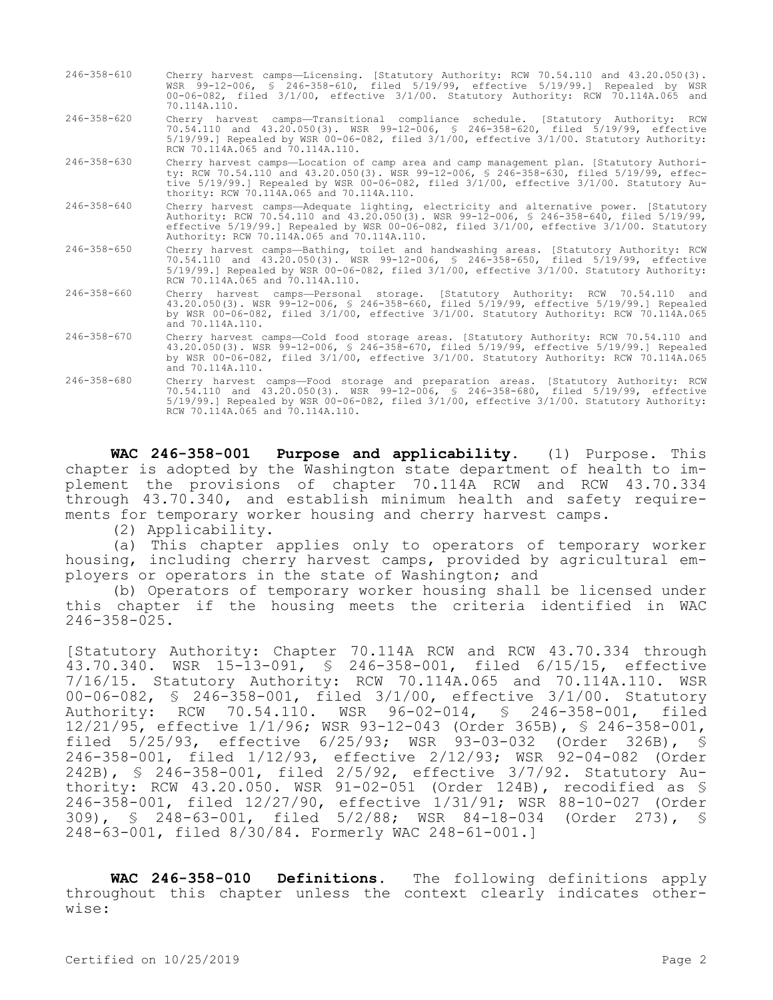| 246-358-610 | Cherry harvest camps-Licensing. [Statutory Authority: RCW 70.54.110 and 43.20.050(3).        |  |
|-------------|----------------------------------------------------------------------------------------------|--|
|             | WSR 99-12-006, § 246-358-610, filed 5/19/99, effective 5/19/99.] Repealed by WSR             |  |
|             | $00-06-082$ , filed $3/1/00$ , effective $3/1/00$ . Statutory Authority: RCW 70.114A.065 and |  |
|             | 70.114A.110.                                                                                 |  |
|             |                                                                                              |  |

- 246-358-620 Cherry harvest camps—Transitional compliance schedule. [Statutory Authority: RCW 70.54.110 and 43.20.050(3). WSR 99-12-006, § 246-358-620, filed 5/19/99, effective 5/19/99.] Repealed by WSR 00-06-082, filed 3/1/00, effective 3/1/00. Statutory Authority: RCW 70.114A.065 and 70.114A.110.
- 246-358-630 Cherry harvest camps—Location of camp area and camp management plan. [Statutory Authority: RCW 70.54.110 and 43.20.050(3). WSR 99-12-006, § 246-358-630, filed 5/19/99, effective 5/19/99.] Repealed by WSR 00-06-082, filed 3/1/00, effective 3/1/00. Statutory Authority: RCW 70.114A.065 and 70.114A.110.
- 246-358-640 Cherry harvest camps—Adequate lighting, electricity and alternative power. [Statutory Authority: RCW 70.54.110 and 43.20.050(3). WSR 99-12-006, § 246-358-640, filed 5/19/99, effective 5/19/99.] Repealed by WSR 00-06-082, filed 3/1/00, effective 3/1/00. Statutory Authority: RCW 70.114A.065 and 70.114A.110.
- 246-358-650 Cherry harvest camps—Bathing, toilet and handwashing areas. [Statutory Authority: RCW 70.54.110 and 43.20.050(3). WSR 99-12-006, § 246-358-650, filed 5/19/99, effective 5/19/99.] Repealed by WSR 00-06-082, filed 3/1/00, effective 3/1/00. Statutory Authority: RCW 70.114A.065 and 70.114A.110.
- 246-358-660 Cherry harvest camps—Personal storage. [Statutory Authority: RCW 70.54.110 and 43.20.050(3). WSR 99-12-006, § 246-358-660, filed 5/19/99, effective 5/19/99.] Repealed by WSR 00-06-082, filed 3/1/00, effective 3/1/00. Statutory Authority: RCW 70.114A.065 and 70.114A.110.
- 246-358-670 Cherry harvest camps—Cold food storage areas. [Statutory Authority: RCW 70.54.110 and 43.20.050(3). WSR 99-12-006, § 246-358-670, filed 5/19/99, effective 5/19/99.] Repealed by WSR 00-06-082, filed 3/1/00, effective 3/1/00. Statutory Authority: RCW 70.114A.065 and 70.114A.110.
- 246-358-680 Cherry harvest camps—Food storage and preparation areas. [Statutory Authority: RCW 70.54.110 and 43.20.050(3). WSR 99-12-006, § 246-358-680, filed 5/19/99, effective 5/19/99.] Repealed by WSR 00-06-082, filed 3/1/00, effective 3/1/00. Statutory Authority: RCW 70.114A.065 and 70.114A.110.

**WAC 246-358-001 Purpose and applicability.** (1) Purpose. This chapter is adopted by the Washington state department of health to implement the provisions of chapter 70.114A RCW and RCW 43.70.334 through 43.70.340, and establish minimum health and safety requirements for temporary worker housing and cherry harvest camps.

(2) Applicability.

(a) This chapter applies only to operators of temporary worker housing, including cherry harvest camps, provided by agricultural employers or operators in the state of Washington; and

(b) Operators of temporary worker housing shall be licensed under this chapter if the housing meets the criteria identified in WAC 246-358-025.

[Statutory Authority: Chapter 70.114A RCW and RCW 43.70.334 through 43.70.340. WSR 15-13-091, § 246-358-001, filed 6/15/15, effective 7/16/15. Statutory Authority: RCW 70.114A.065 and 70.114A.110. WSR 00-06-082, § 246-358-001, filed 3/1/00, effective 3/1/00. Statutory Authority: RCW 70.54.110. WSR 96-02-014, § 246-358-001, filed 12/21/95, effective 1/1/96; WSR 93-12-043 (Order 365B), § 246-358-001, filed 5/25/93, effective 6/25/93; WSR 93-03-032 (Order 326B), § 246-358-001, filed 1/12/93, effective 2/12/93; WSR 92-04-082 (Order 242B), § 246-358-001, filed 2/5/92, effective 3/7/92. Statutory Authority: RCW 43.20.050. WSR 91-02-051 (Order 124B), recodified as § 246-358-001, filed 12/27/90, effective 1/31/91; WSR 88-10-027 (Order 309), § 248-63-001, filed 5/2/88; WSR 84-18-034 (Order 273), § 248-63-001, filed 8/30/84. Formerly WAC 248-61-001.]

**WAC 246-358-010 Definitions.** The following definitions apply throughout this chapter unless the context clearly indicates otherwise: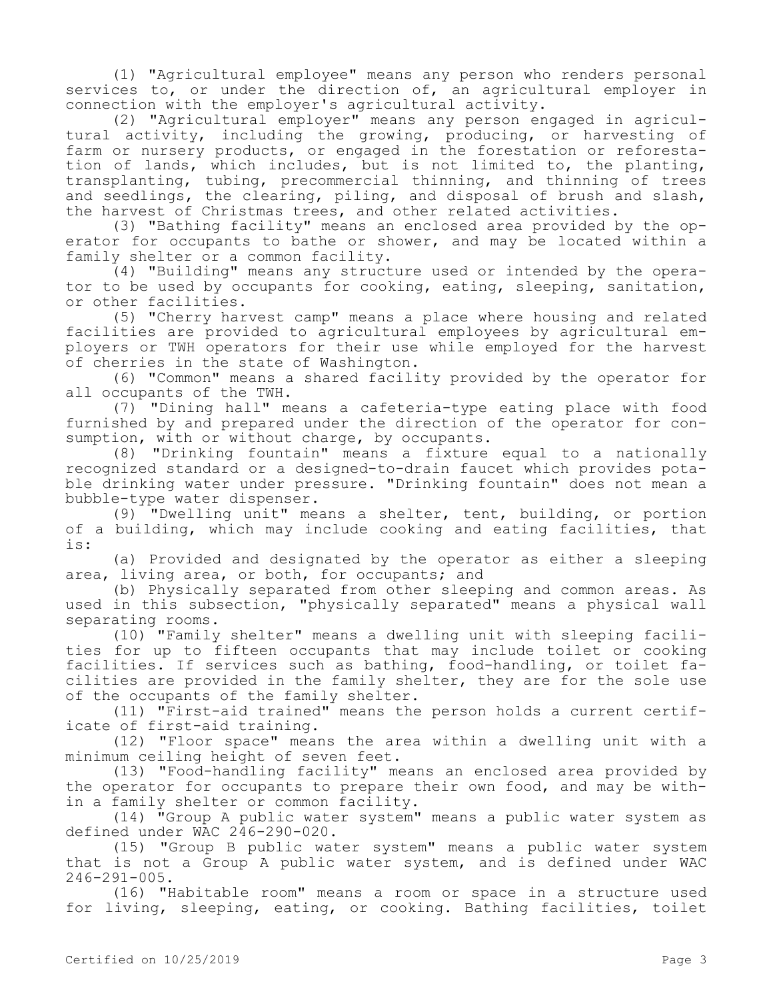(1) "Agricultural employee" means any person who renders personal services to, or under the direction of, an agricultural employer in connection with the employer's agricultural activity.

(2) "Agricultural employer" means any person engaged in agricultural activity, including the growing, producing, or harvesting of farm or nursery products, or engaged in the forestation or reforestation of lands, which includes, but is not limited to, the planting, transplanting, tubing, precommercial thinning, and thinning of trees and seedlings, the clearing, piling, and disposal of brush and slash, the harvest of Christmas trees, and other related activities.

(3) "Bathing facility" means an enclosed area provided by the operator for occupants to bathe or shower, and may be located within a family shelter or a common facility.

(4) "Building" means any structure used or intended by the operator to be used by occupants for cooking, eating, sleeping, sanitation, or other facilities.

(5) "Cherry harvest camp" means a place where housing and related facilities are provided to agricultural employees by agricultural employers or TWH operators for their use while employed for the harvest of cherries in the state of Washington.

(6) "Common" means a shared facility provided by the operator for all occupants of the TWH.

(7) "Dining hall" means a cafeteria-type eating place with food furnished by and prepared under the direction of the operator for consumption, with or without charge, by occupants.

(8) "Drinking fountain" means a fixture equal to a nationally recognized standard or a designed-to-drain faucet which provides potable drinking water under pressure. "Drinking fountain" does not mean a bubble-type water dispenser.

(9) "Dwelling unit" means a shelter, tent, building, or portion of a building, which may include cooking and eating facilities, that is:

(a) Provided and designated by the operator as either a sleeping area, living area, or both, for occupants; and

(b) Physically separated from other sleeping and common areas. As used in this subsection, "physically separated" means a physical wall separating rooms.

(10) "Family shelter" means a dwelling unit with sleeping facilities for up to fifteen occupants that may include toilet or cooking facilities. If services such as bathing, food-handling, or toilet facilities are provided in the family shelter, they are for the sole use of the occupants of the family shelter.

(11) "First-aid trained" means the person holds a current certificate of first-aid training.

(12) "Floor space" means the area within a dwelling unit with a minimum ceiling height of seven feet.

(13) "Food-handling facility" means an enclosed area provided by the operator for occupants to prepare their own food, and may be within a family shelter or common facility.

(14) "Group A public water system" means a public water system as defined under WAC 246-290-020.

(15) "Group B public water system" means a public water system that is not a Group A public water system, and is defined under WAC 246-291-005.

(16) "Habitable room" means a room or space in a structure used for living, sleeping, eating, or cooking. Bathing facilities, toilet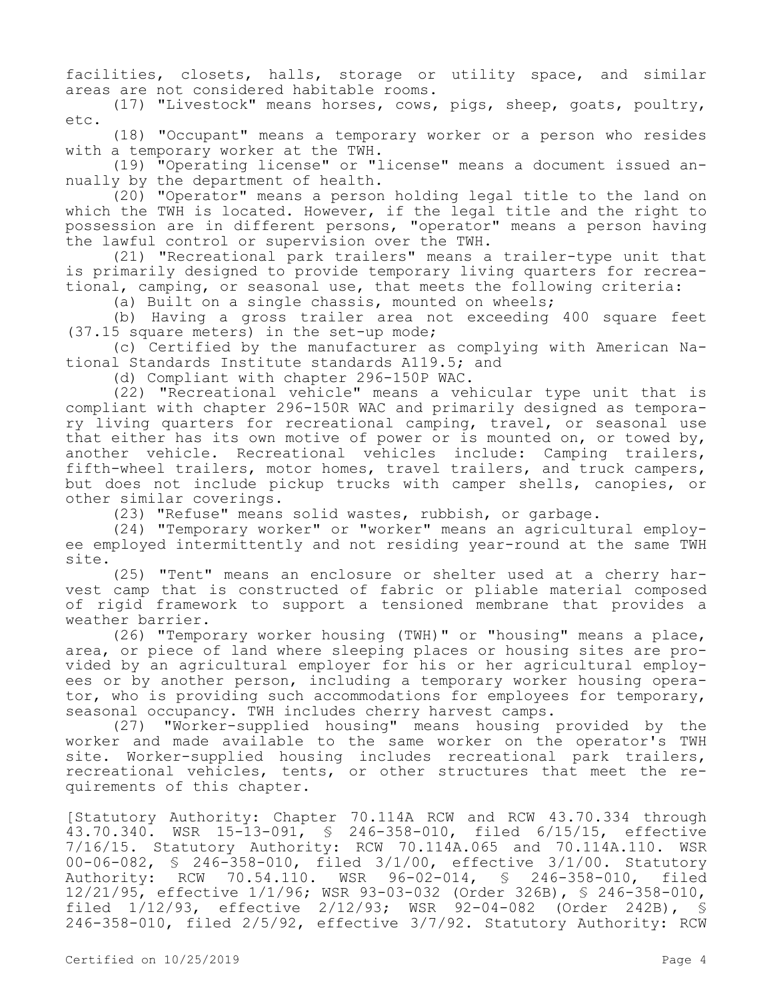facilities, closets, halls, storage or utility space, and similar areas are not considered habitable rooms.

(17) "Livestock" means horses, cows, pigs, sheep, goats, poultry, etc.

(18) "Occupant" means a temporary worker or a person who resides with a temporary worker at the TWH.

(19) "Operating license" or "license" means a document issued annually by the department of health.

(20) "Operator" means a person holding legal title to the land on which the TWH is located. However, if the legal title and the right to possession are in different persons, "operator" means a person having the lawful control or supervision over the TWH.

(21) "Recreational park trailers" means a trailer-type unit that is primarily designed to provide temporary living quarters for recreational, camping, or seasonal use, that meets the following criteria:

(a) Built on a single chassis, mounted on wheels;

(b) Having a gross trailer area not exceeding 400 square feet (37.15 square meters) in the set-up mode;

(c) Certified by the manufacturer as complying with American National Standards Institute standards A119.5; and

(d) Compliant with chapter 296-150P WAC.

(22) "Recreational vehicle" means a vehicular type unit that is compliant with chapter 296-150R WAC and primarily designed as temporary living quarters for recreational camping, travel, or seasonal use that either has its own motive of power or is mounted on, or towed by, another vehicle. Recreational vehicles include: Camping trailers, fifth-wheel trailers, motor homes, travel trailers, and truck campers, but does not include pickup trucks with camper shells, canopies, or other similar coverings.

(23) "Refuse" means solid wastes, rubbish, or garbage.

(24) "Temporary worker" or "worker" means an agricultural employee employed intermittently and not residing year-round at the same TWH site.

(25) "Tent" means an enclosure or shelter used at a cherry harvest camp that is constructed of fabric or pliable material composed of rigid framework to support a tensioned membrane that provides a weather barrier.

(26) "Temporary worker housing (TWH)" or "housing" means a place, area, or piece of land where sleeping places or housing sites are provided by an agricultural employer for his or her agricultural employees or by another person, including a temporary worker housing operator, who is providing such accommodations for employees for temporary, seasonal occupancy. TWH includes cherry harvest camps.

(27) "Worker-supplied housing" means housing provided by the worker and made available to the same worker on the operator's TWH site. Worker-supplied housing includes recreational park trailers, recreational vehicles, tents, or other structures that meet the requirements of this chapter.

[Statutory Authority: Chapter 70.114A RCW and RCW 43.70.334 through 43.70.340. WSR 15-13-091, § 246-358-010, filed 6/15/15, effective 7/16/15. Statutory Authority: RCW 70.114A.065 and 70.114A.110. WSR 00-06-082, § 246-358-010, filed 3/1/00, effective 3/1/00. Statutory Authority: RCW 70.54.110. WSR 96-02-014, § 246-358-010, filed 12/21/95, effective 1/1/96; WSR 93-03-032 (Order 326B), § 246-358-010, filed 1/12/93, effective 2/12/93; WSR 92-04-082 (Order 242B), § 246-358-010, filed 2/5/92, effective 3/7/92. Statutory Authority: RCW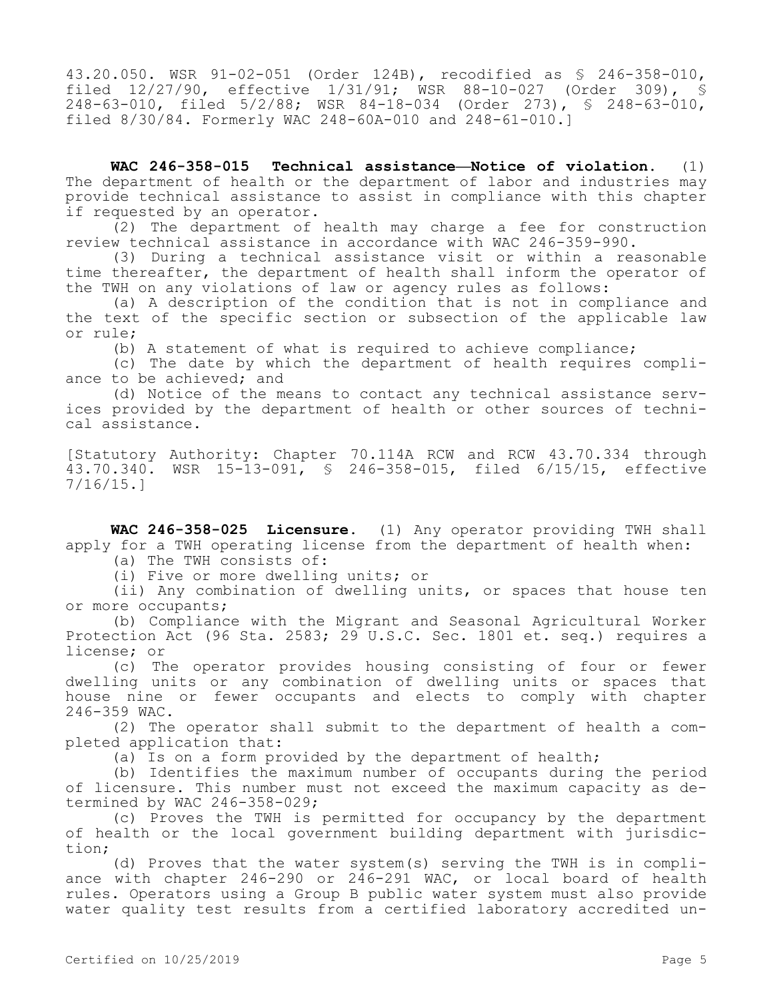43.20.050. WSR 91-02-051 (Order 124B), recodified as § 246-358-010, filed 12/27/90, effective 1/31/91; WSR 88-10-027 (Order 309), § 248-63-010, filed 5/2/88; WSR 84-18-034 (Order 273), § 248-63-010, filed 8/30/84. Formerly WAC 248-60A-010 and 248-61-010.]

**WAC 246-358-015 Technical assistance—Notice of violation.** (1) The department of health or the department of labor and industries may provide technical assistance to assist in compliance with this chapter if requested by an operator.

(2) The department of health may charge a fee for construction review technical assistance in accordance with WAC 246-359-990.

(3) During a technical assistance visit or within a reasonable time thereafter, the department of health shall inform the operator of the TWH on any violations of law or agency rules as follows:

(a) A description of the condition that is not in compliance and the text of the specific section or subsection of the applicable law or rule;

(b) A statement of what is required to achieve compliance;

(c) The date by which the department of health requires compliance to be achieved; and

(d) Notice of the means to contact any technical assistance services provided by the department of health or other sources of technical assistance.

[Statutory Authority: Chapter 70.114A RCW and RCW 43.70.334 through 43.70.340. WSR 15-13-091, § 246-358-015, filed 6/15/15, effective 7/16/15.]

**WAC 246-358-025 Licensure.** (1) Any operator providing TWH shall apply for a TWH operating license from the department of health when:

(a) The TWH consists of:

(i) Five or more dwelling units; or

(ii) Any combination of dwelling units, or spaces that house ten or more occupants;

(b) Compliance with the Migrant and Seasonal Agricultural Worker Protection Act (96 Sta. 2583; 29 U.S.C. Sec. 1801 et. seq.) requires a license; or

(c) The operator provides housing consisting of four or fewer dwelling units or any combination of dwelling units or spaces that house nine or fewer occupants and elects to comply with chapter 246-359 WAC.

(2) The operator shall submit to the department of health a completed application that:

(a) Is on a form provided by the department of health;

(b) Identifies the maximum number of occupants during the period of licensure. This number must not exceed the maximum capacity as determined by WAC 246-358-029;

(c) Proves the TWH is permitted for occupancy by the department of health or the local government building department with jurisdiction;

(d) Proves that the water system(s) serving the TWH is in compliance with chapter 246-290 or 246-291 WAC, or local board of health rules. Operators using a Group B public water system must also provide water quality test results from a certified laboratory accredited un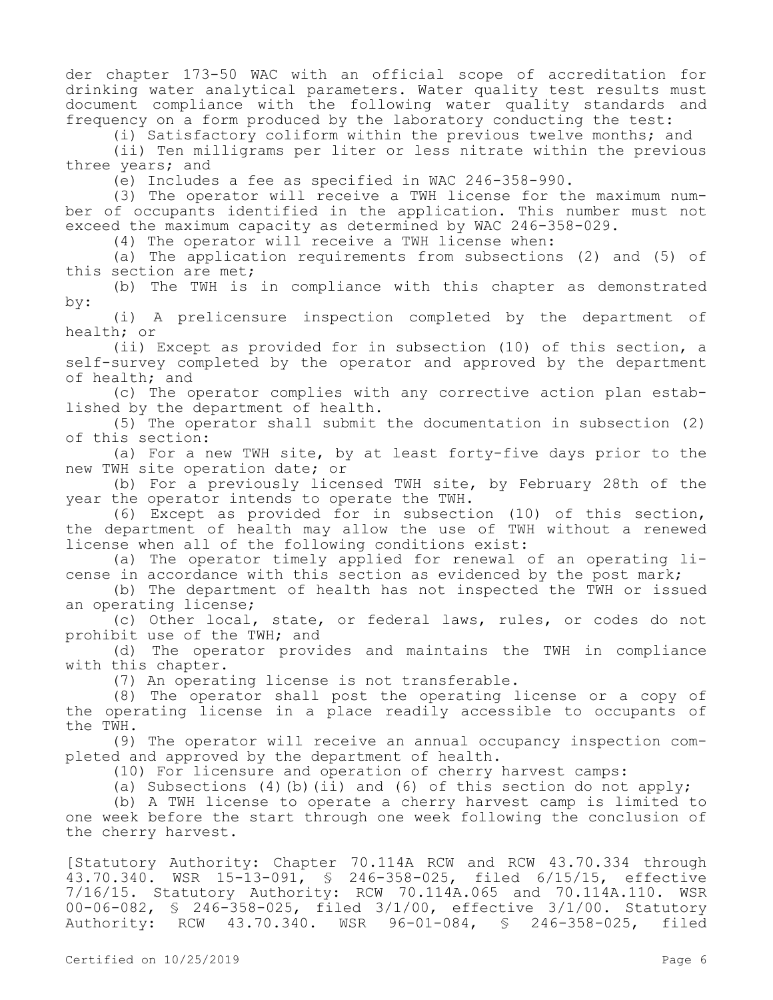der chapter 173-50 WAC with an official scope of accreditation for drinking water analytical parameters. Water quality test results must document compliance with the following water quality standards and frequency on a form produced by the laboratory conducting the test:

(i) Satisfactory coliform within the previous twelve months; and

(ii) Ten milligrams per liter or less nitrate within the previous three years; and

(e) Includes a fee as specified in WAC 246-358-990.

(3) The operator will receive a TWH license for the maximum number of occupants identified in the application. This number must not exceed the maximum capacity as determined by WAC 246-358-029.

(4) The operator will receive a TWH license when:

(a) The application requirements from subsections (2) and (5) of this section are met;

(b) The TWH is in compliance with this chapter as demonstrated by:

(i) A prelicensure inspection completed by the department of health; or

(ii) Except as provided for in subsection (10) of this section, a self-survey completed by the operator and approved by the department of health; and

(c) The operator complies with any corrective action plan established by the department of health.

(5) The operator shall submit the documentation in subsection (2) of this section:

(a) For a new TWH site, by at least forty-five days prior to the new TWH site operation date; or

(b) For a previously licensed TWH site, by February 28th of the year the operator intends to operate the TWH.

(6) Except as provided for in subsection (10) of this section, the department of health may allow the use of TWH without a renewed license when all of the following conditions exist:

(a) The operator timely applied for renewal of an operating license in accordance with this section as evidenced by the post mark;

(b) The department of health has not inspected the TWH or issued an operating license;

(c) Other local, state, or federal laws, rules, or codes do not prohibit use of the TWH; and

(d) The operator provides and maintains the TWH in compliance with this chapter.

(7) An operating license is not transferable.

(8) The operator shall post the operating license or a copy of the operating license in a place readily accessible to occupants of the TWH.

(9) The operator will receive an annual occupancy inspection completed and approved by the department of health.

(10) For licensure and operation of cherry harvest camps:

(a) Subsections (4)(b)(ii) and (6) of this section do not apply;

(b) A TWH license to operate a cherry harvest camp is limited to one week before the start through one week following the conclusion of the cherry harvest.

[Statutory Authority: Chapter 70.114A RCW and RCW 43.70.334 through 43.70.340. WSR 15-13-091, § 246-358-025, filed 6/15/15, effective 7/16/15. Statutory Authority: RCW 70.114A.065 and 70.114A.110. WSR 00-06-082, § 246-358-025, filed 3/1/00, effective 3/1/00. Statutory Authority: RCW 43.70.340. WSR 96-01-084, § 246-358-025, filed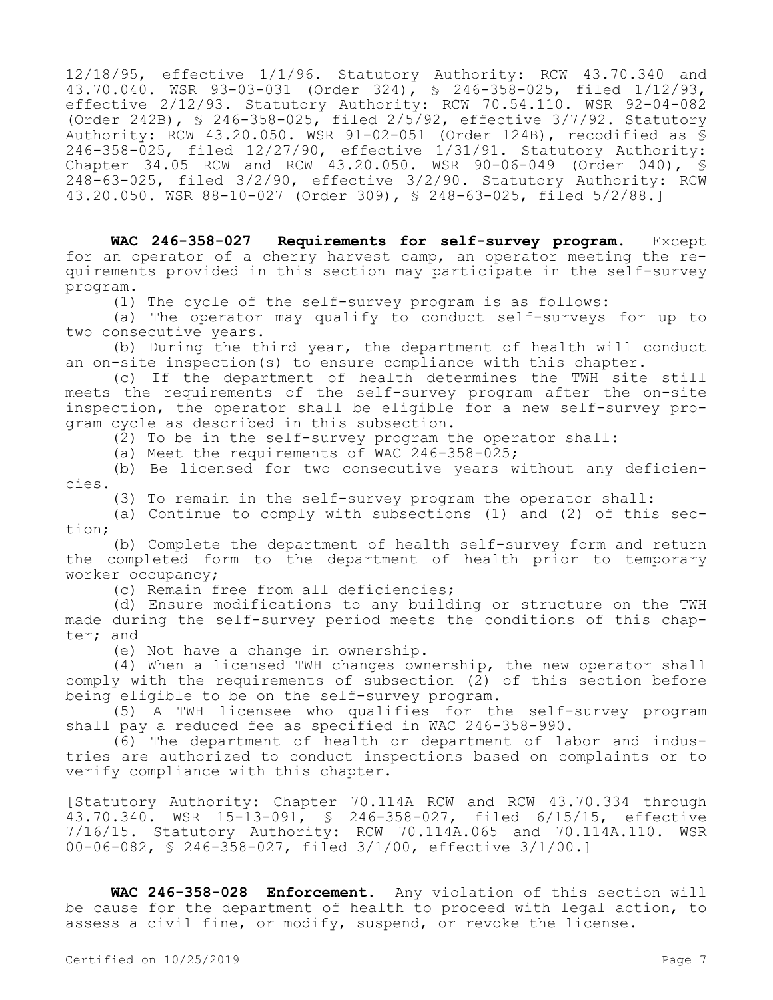12/18/95, effective 1/1/96. Statutory Authority: RCW 43.70.340 and 43.70.040. WSR 93-03-031 (Order 324), § 246-358-025, filed 1/12/93, effective 2/12/93. Statutory Authority: RCW 70.54.110. WSR 92-04-082 (Order 242B),  $\frac{1}{5}$  246-358-025, filed 2/5/92, effective 3/7/92. Statutory Authority: RCW 43.20.050. WSR 91-02-051 (Order 124B), recodified as § 246-358-025, filed 12/27/90, effective 1/31/91. Statutory Authority: Chapter 34.05 RCW and RCW 43.20.050. WSR 90-06-049 (Order 040), § 248-63-025, filed 3/2/90, effective 3/2/90. Statutory Authority: RCW 43.20.050. WSR 88-10-027 (Order 309), § 248-63-025, filed 5/2/88.]

**WAC 246-358-027 Requirements for self-survey program.** Except for an operator of a cherry harvest camp, an operator meeting the requirements provided in this section may participate in the self-survey program.

(1) The cycle of the self-survey program is as follows:

(a) The operator may qualify to conduct self-surveys for up to two consecutive years.

(b) During the third year, the department of health will conduct an on-site inspection(s) to ensure compliance with this chapter.

(c) If the department of health determines the TWH site still meets the requirements of the self-survey program after the on-site inspection, the operator shall be eligible for a new self-survey program cycle as described in this subsection.

(2) To be in the self-survey program the operator shall:

(a) Meet the requirements of  $WAC$  246-358-025;

(b) Be licensed for two consecutive years without any deficiencies.

(3) To remain in the self-survey program the operator shall:

(a) Continue to comply with subsections (1) and (2) of this section;

(b) Complete the department of health self-survey form and return the completed form to the department of health prior to temporary worker occupancy;

(c) Remain free from all deficiencies;

(d) Ensure modifications to any building or structure on the TWH made during the self-survey period meets the conditions of this chapter; and

(e) Not have a change in ownership.

(4) When a licensed TWH changes ownership, the new operator shall comply with the requirements of subsection (2) of this section before being eligible to be on the self-survey program.

(5) A TWH licensee who qualifies for the self-survey program shall pay a reduced fee as specified in WAC 246-358-990.

(6) The department of health or department of labor and industries are authorized to conduct inspections based on complaints or to verify compliance with this chapter.

[Statutory Authority: Chapter 70.114A RCW and RCW 43.70.334 through 43.70.340. WSR 15-13-091, § 246-358-027, filed 6/15/15, effective 7/16/15. Statutory Authority: RCW 70.114A.065 and 70.114A.110. WSR 00-06-082, § 246-358-027, filed 3/1/00, effective 3/1/00.]

**WAC 246-358-028 Enforcement.** Any violation of this section will be cause for the department of health to proceed with legal action, to assess a civil fine, or modify, suspend, or revoke the license.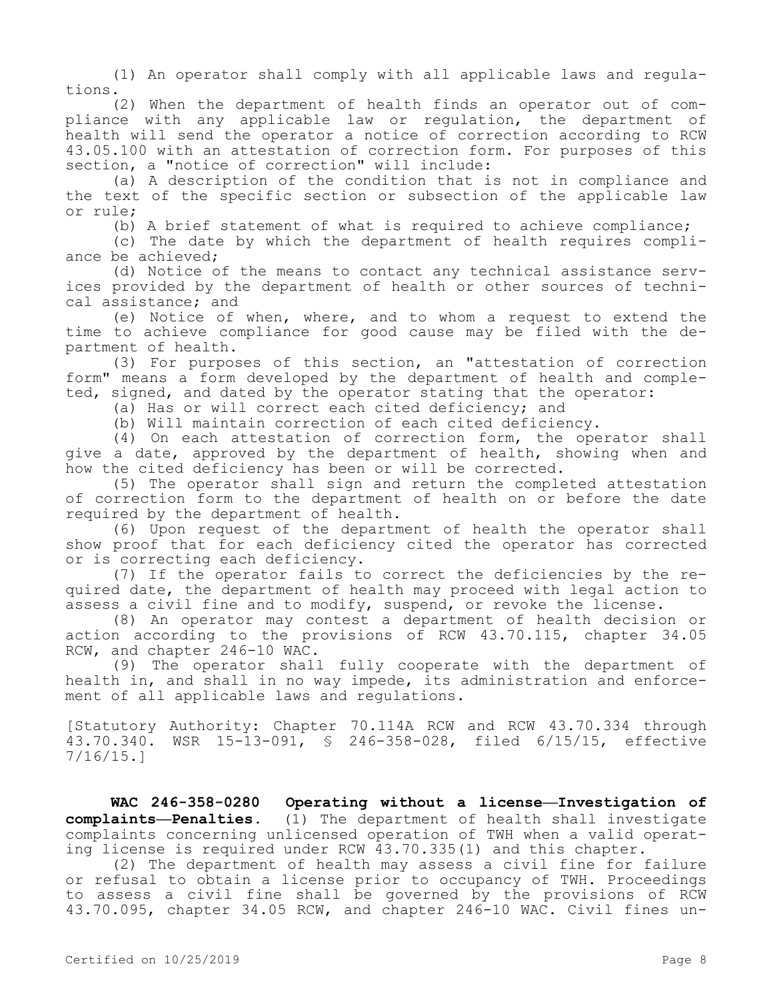(1) An operator shall comply with all applicable laws and regulations.

(2) When the department of health finds an operator out of compliance with any applicable law or regulation, the department of health will send the operator a notice of correction according to RCW 43.05.100 with an attestation of correction form. For purposes of this section, a "notice of correction" will include:

(a) A description of the condition that is not in compliance and the text of the specific section or subsection of the applicable law or rule;

(b) A brief statement of what is required to achieve compliance;

(c) The date by which the department of health requires compliance be achieved;

(d) Notice of the means to contact any technical assistance services provided by the department of health or other sources of technical assistance; and

(e) Notice of when, where, and to whom a request to extend the time to achieve compliance for good cause may be filed with the department of health.

(3) For purposes of this section, an "attestation of correction form" means a form developed by the department of health and completed, signed, and dated by the operator stating that the operator:

(a) Has or will correct each cited deficiency; and

(b) Will maintain correction of each cited deficiency.

(4) On each attestation of correction form, the operator shall give a date, approved by the department of health, showing when and how the cited deficiency has been or will be corrected.

(5) The operator shall sign and return the completed attestation of correction form to the department of health on or before the date required by the department of health.

(6) Upon request of the department of health the operator shall show proof that for each deficiency cited the operator has corrected or is correcting each deficiency.

(7) If the operator fails to correct the deficiencies by the required date, the department of health may proceed with legal action to assess a civil fine and to modify, suspend, or revoke the license.

(8) An operator may contest a department of health decision or action according to the provisions of RCW 43.70.115, chapter 34.05 RCW, and chapter 246-10 WAC.

(9) The operator shall fully cooperate with the department of health in, and shall in no way impede, its administration and enforcement of all applicable laws and regulations.

[Statutory Authority: Chapter 70.114A RCW and RCW 43.70.334 through 43.70.340. WSR 15-13-091, § 246-358-028, filed 6/15/15, effective 7/16/15.]

**WAC 246-358-0280 Operating without a license—Investigation of complaints—Penalties.** (1) The department of health shall investigate complaints concerning unlicensed operation of TWH when a valid operating license is required under RCW 43.70.335(1) and this chapter.

(2) The department of health may assess a civil fine for failure or refusal to obtain a license prior to occupancy of TWH. Proceedings to assess a civil fine shall be governed by the provisions of RCW 43.70.095, chapter 34.05 RCW, and chapter 246-10 WAC. Civil fines un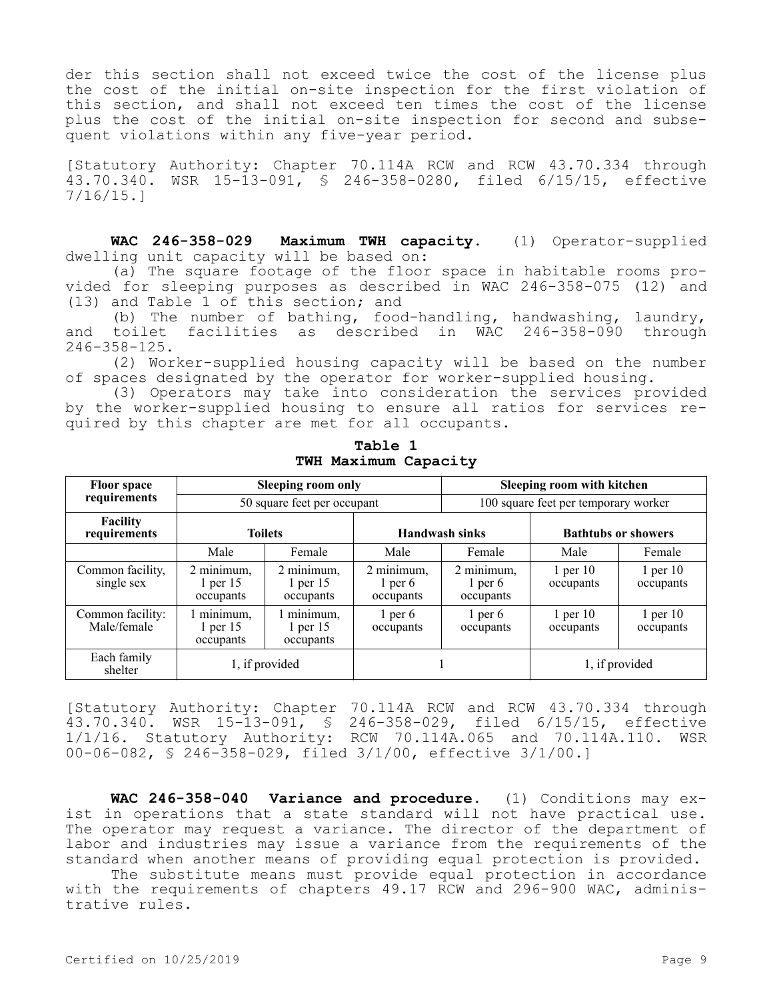der this section shall not exceed twice the cost of the license plus the cost of the initial on-site inspection for the first violation of this section, and shall not exceed ten times the cost of the license plus the cost of the initial on-site inspection for second and subsequent violations within any five-year period.

[Statutory Authority: Chapter 70.114A RCW and RCW 43.70.334 through 43.70.340. WSR 15-13-091, § 246-358-0280, filed 6/15/15, effective 7/16/15.]

**WAC 246-358-029 Maximum TWH capacity.** (1) Operator-supplied dwelling unit capacity will be based on:

(a) The square footage of the floor space in habitable rooms provided for sleeping purposes as described in WAC 246-358-075 (12) and (13) and Table 1 of this section; and

(b) The number of bathing, food-handling, handwashing, laundry, and toilet facilities as described in WAC 246-358-090 through 246-358-125.

(2) Worker-supplied housing capacity will be based on the number of spaces designated by the operator for worker-supplied housing.

(3) Operators may take into consideration the services provided by the worker-supplied housing to ensure all ratios for services required by this chapter are met for all occupants.

| <b>Floor space</b>              | <b>Sleeping room only</b>               |                                       |                                      | Sleeping room with kitchen           |                            |                           |
|---------------------------------|-----------------------------------------|---------------------------------------|--------------------------------------|--------------------------------------|----------------------------|---------------------------|
| requirements                    | 50 square feet per occupant             |                                       |                                      | 100 square feet per temporary worker |                            |                           |
| <b>Facility</b><br>requirements | <b>Toilets</b>                          |                                       | <b>Handwash sinks</b>                |                                      | <b>Bathtubs or showers</b> |                           |
|                                 | Male                                    | Female                                | Male                                 | Female                               | Male                       | Female                    |
| Common facility,<br>single sex  | 2 minimum,<br>$1$ per $15$<br>occupants | 2 minimum,<br>1 per 15<br>occupants   | 2 minimum,<br>$1$ per 6<br>occupants | 2 minimum,<br>$1$ per 6<br>occupants | $1$ per $10$<br>occupants  | $1$ per $10$<br>occupants |
| Common facility:<br>Male/female | 1 minimum,<br>$1$ per $15$<br>occupants | 1 minimum,<br>$1$ per 15<br>occupants | $1$ per 6<br>occupants               | $1$ per 6<br>occupants               | $1$ per $10$<br>occupants  | $1$ per $10$<br>occupants |
| Each family<br>shelter          | 1, if provided                          |                                       |                                      |                                      | 1, if provided             |                           |

**Table 1 TWH Maximum Capacity**

[Statutory Authority: Chapter 70.114A RCW and RCW 43.70.334 through 43.70.340. WSR 15-13-091, § 246-358-029, filed 6/15/15, effective 1/1/16. Statutory Authority: RCW 70.114A.065 and 70.114A.110. WSR 00-06-082, § 246-358-029, filed 3/1/00, effective 3/1/00.]

**WAC 246-358-040 Variance and procedure.** (1) Conditions may exist in operations that a state standard will not have practical use. The operator may request a variance. The director of the department of labor and industries may issue a variance from the requirements of the standard when another means of providing equal protection is provided.

The substitute means must provide equal protection in accordance with the requirements of chapters 49.17 RCW and 296-900 WAC, administrative rules.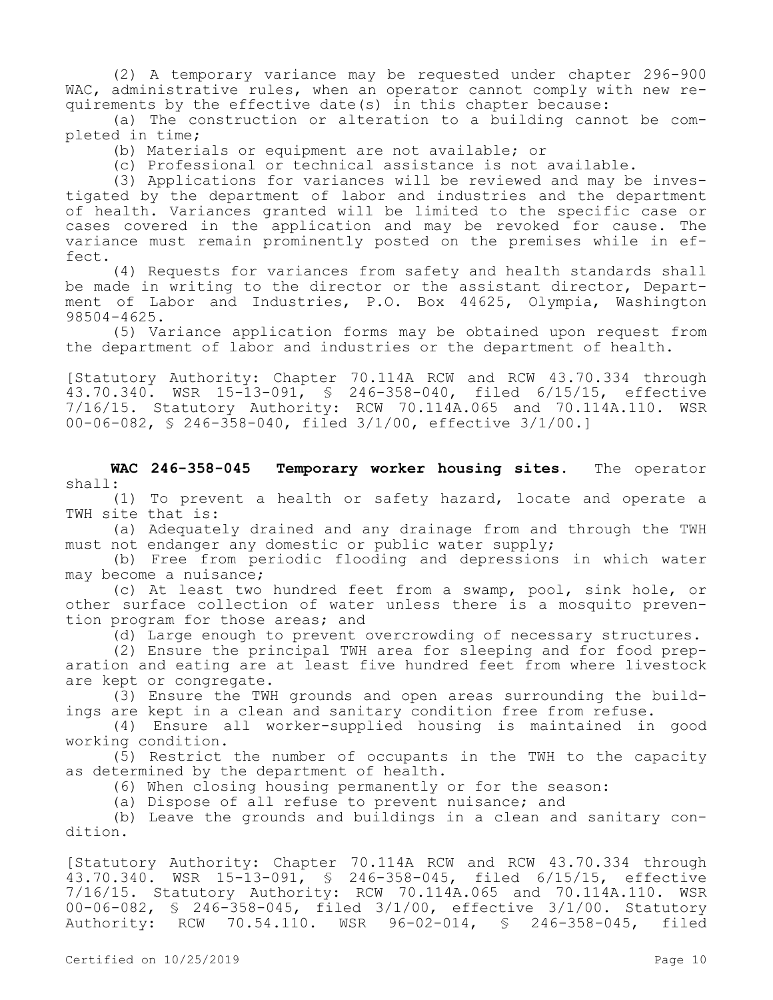(2) A temporary variance may be requested under chapter 296-900 WAC, administrative rules, when an operator cannot comply with new requirements by the effective date(s) in this chapter because:

(a) The construction or alteration to a building cannot be completed in time;

(b) Materials or equipment are not available; or

(c) Professional or technical assistance is not available.

(3) Applications for variances will be reviewed and may be investigated by the department of labor and industries and the department of health. Variances granted will be limited to the specific case or cases covered in the application and may be revoked for cause. The variance must remain prominently posted on the premises while in effect.

(4) Requests for variances from safety and health standards shall be made in writing to the director or the assistant director, Department of Labor and Industries, P.O. Box 44625, Olympia, Washington 98504-4625.

(5) Variance application forms may be obtained upon request from the department of labor and industries or the department of health.

[Statutory Authority: Chapter 70.114A RCW and RCW 43.70.334 through 43.70.340. WSR 15-13-091, § 246-358-040, filed 6/15/15, effective 7/16/15. Statutory Authority: RCW 70.114A.065 and 70.114A.110. WSR 00-06-082, § 246-358-040, filed 3/1/00, effective 3/1/00.]

**WAC 246-358-045 Temporary worker housing sites.** The operator shall:

(1) To prevent a health or safety hazard, locate and operate a TWH site that is:

(a) Adequately drained and any drainage from and through the TWH must not endanger any domestic or public water supply;

(b) Free from periodic flooding and depressions in which water may become a nuisance;

(c) At least two hundred feet from a swamp, pool, sink hole, or other surface collection of water unless there is a mosquito prevention program for those areas; and

(d) Large enough to prevent overcrowding of necessary structures.

(2) Ensure the principal TWH area for sleeping and for food preparation and eating are at least five hundred feet from where livestock are kept or congregate.

(3) Ensure the TWH grounds and open areas surrounding the buildings are kept in a clean and sanitary condition free from refuse.

(4) Ensure all worker-supplied housing is maintained in good working condition.

(5) Restrict the number of occupants in the TWH to the capacity as determined by the department of health.

(6) When closing housing permanently or for the season:

(a) Dispose of all refuse to prevent nuisance; and

(b) Leave the grounds and buildings in a clean and sanitary condition.

[Statutory Authority: Chapter 70.114A RCW and RCW 43.70.334 through 43.70.340. WSR 15-13-091, § 246-358-045, filed 6/15/15, effective 7/16/15. Statutory Authority: RCW 70.114A.065 and 70.114A.110. WSR 00-06-082, § 246-358-045, filed 3/1/00, effective 3/1/00. Statutory Authority: RCW 70.54.110. WSR 96-02-014, § 246-358-045, filed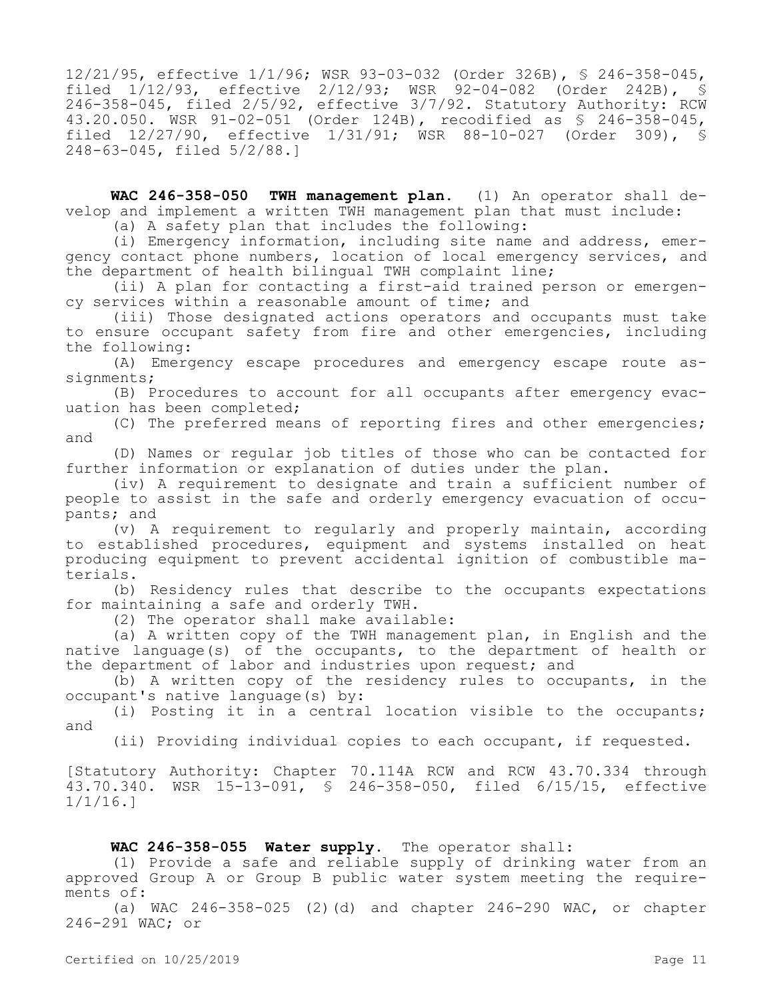12/21/95, effective 1/1/96; WSR 93-03-032 (Order 326B), § 246-358-045, filed 1/12/93, effective 2/12/93; WSR 92-04-082 (Order 242B), § 246-358-045, filed 2/5/92, effective 3/7/92. Statutory Authority: RCW 43.20.050. WSR 91-02-051 (Order 124B), recodified as § 246-358-045, filed 12/27/90, effective 1/31/91; WSR 88-10-027 (Order 309), § 248-63-045, filed 5/2/88.]

**WAC 246-358-050 TWH management plan.** (1) An operator shall develop and implement a written TWH management plan that must include:

(a) A safety plan that includes the following:

(i) Emergency information, including site name and address, emergency contact phone numbers, location of local emergency services, and the department of health bilingual TWH complaint line;

(ii) A plan for contacting a first-aid trained person or emergency services within a reasonable amount of time; and

(iii) Those designated actions operators and occupants must take to ensure occupant safety from fire and other emergencies, including the following:

(A) Emergency escape procedures and emergency escape route assignments;

(B) Procedures to account for all occupants after emergency evacuation has been completed;

(C) The preferred means of reporting fires and other emergencies; and

(D) Names or regular job titles of those who can be contacted for further information or explanation of duties under the plan.

(iv) A requirement to designate and train a sufficient number of people to assist in the safe and orderly emergency evacuation of occupants; and

(v) A requirement to regularly and properly maintain, according to established procedures, equipment and systems installed on heat producing equipment to prevent accidental ignition of combustible materials.

(b) Residency rules that describe to the occupants expectations for maintaining a safe and orderly TWH.

(2) The operator shall make available:

(a) A written copy of the TWH management plan, in English and the native language(s) of the occupants, to the department of health or the department of labor and industries upon request; and

(b) A written copy of the residency rules to occupants, in the occupant's native language(s) by:

(i) Posting it in a central location visible to the occupants; and

(ii) Providing individual copies to each occupant, if requested.

[Statutory Authority: Chapter 70.114A RCW and RCW 43.70.334 through 43.70.340. WSR 15-13-091, § 246-358-050, filed 6/15/15, effective 1/1/16.]

# **WAC 246-358-055 Water supply.** The operator shall:

(1) Provide a safe and reliable supply of drinking water from an approved Group A or Group B public water system meeting the requirements of:

(a) WAC  $246 - 358 - 025$  (2)(d) and chapter  $246 - 290$  WAC, or chapter 246-291 WAC; or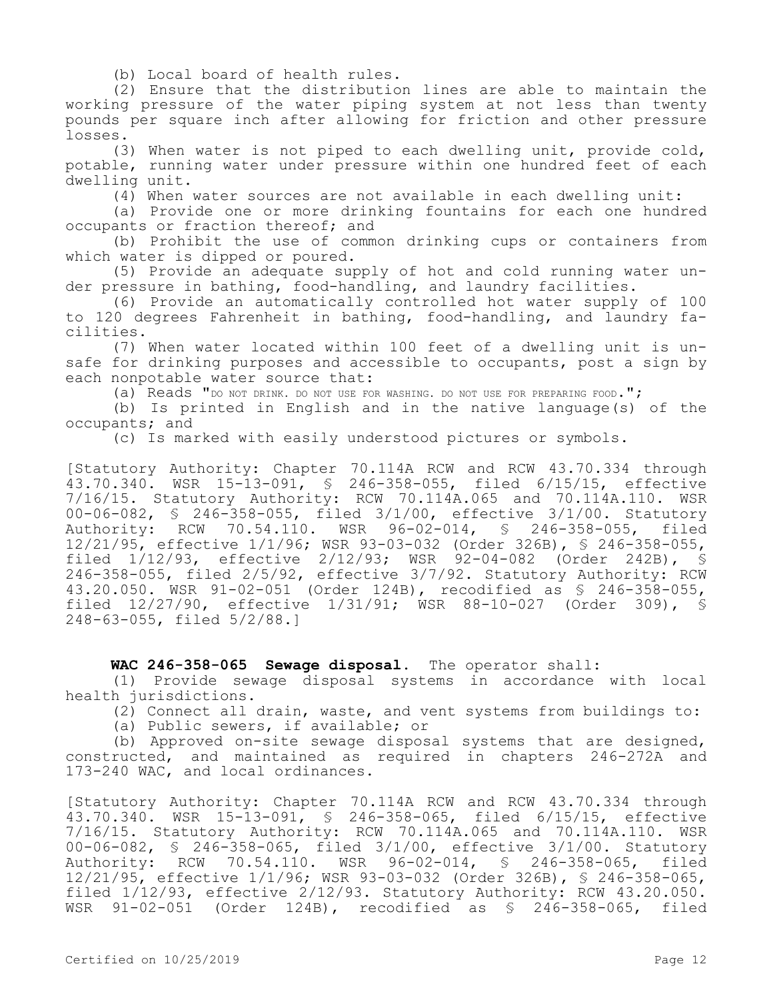(b) Local board of health rules.

(2) Ensure that the distribution lines are able to maintain the working pressure of the water piping system at not less than twenty pounds per square inch after allowing for friction and other pressure losses.

(3) When water is not piped to each dwelling unit, provide cold, potable, running water under pressure within one hundred feet of each dwelling unit.

(4) When water sources are not available in each dwelling unit:

(a) Provide one or more drinking fountains for each one hundred occupants or fraction thereof; and

(b) Prohibit the use of common drinking cups or containers from which water is dipped or poured.

(5) Provide an adequate supply of hot and cold running water under pressure in bathing, food-handling, and laundry facilities.

(6) Provide an automatically controlled hot water supply of 100 to 120 degrees Fahrenheit in bathing, food-handling, and laundry facilities.

(7) When water located within 100 feet of a dwelling unit is unsafe for drinking purposes and accessible to occupants, post a sign by each nonpotable water source that:

(a) Reads "DO NOT DRINK. DO NOT USE FOR WASHING. DO NOT USE FOR PREPARING FOOD.";

(b) Is printed in English and in the native language(s) of the occupants; and

(c) Is marked with easily understood pictures or symbols.

[Statutory Authority: Chapter 70.114A RCW and RCW 43.70.334 through 43.70.340. WSR 15-13-091, § 246-358-055, filed 6/15/15, effective 7/16/15. Statutory Authority: RCW 70.114A.065 and 70.114A.110. WSR 00-06-082, § 246-358-055, filed 3/1/00, effective 3/1/00. Statutory<br>Authority: RCW 70.54.110. WSR 96-02-014, § 246-358-055, filed Authority: RCW 70.54.110. WSR 96-02-014, § 246-358-055, 12/21/95, effective 1/1/96; WSR 93-03-032 (Order 326B), § 246-358-055, filed 1/12/93, effective 2/12/93; WSR 92-04-082 (Order 242B), § 246-358-055, filed 2/5/92, effective 3/7/92. Statutory Authority: RCW 43.20.050. WSR 91-02-051 (Order 124B), recodified as § 246-358-055, filed 12/27/90, effective 1/31/91; WSR 88-10-027 (Order 309), § 248-63-055, filed 5/2/88.]

WAC 246-358-065 Sewage disposal. The operator shall:

(1) Provide sewage disposal systems in accordance with local health jurisdictions.

(2) Connect all drain, waste, and vent systems from buildings to:

(a) Public sewers, if available; or

(b) Approved on-site sewage disposal systems that are designed, constructed, and maintained as required in chapters 246-272A and 173-240 WAC, and local ordinances.

[Statutory Authority: Chapter 70.114A RCW and RCW 43.70.334 through 43.70.340. WSR 15-13-091, § 246-358-065, filed 6/15/15, effective 7/16/15. Statutory Authority: RCW 70.114A.065 and 70.114A.110. WSR 00-06-082, \$ 246-358-065, filed 3/1/00, effective 3/1/00. Statutory<br>Authority: RCW 70.54.110. WSR 96-02-014, \$ 246-358-065, filed Authority: RCW 70.54.110. WSR 96-02-014, \$ 246-358-065, 12/21/95, effective 1/1/96; WSR 93-03-032 (Order 326B), § 246-358-065, filed 1/12/93, effective 2/12/93. Statutory Authority: RCW 43.20.050. WSR 91-02-051 (Order 124B), recodified as § 246-358-065, filed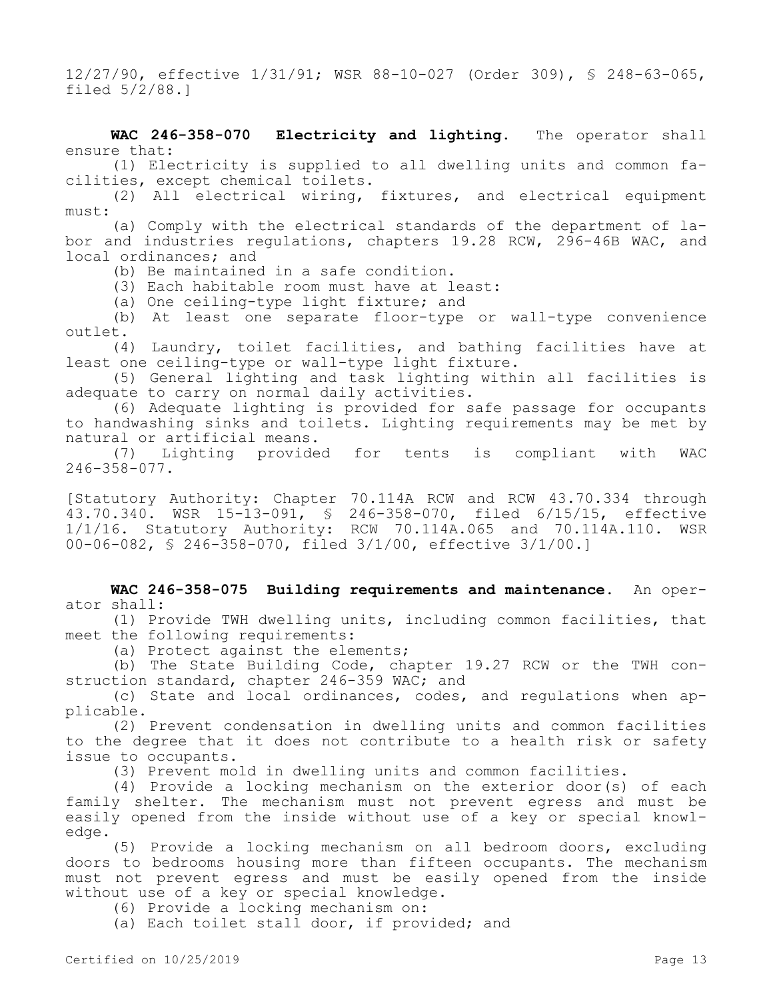12/27/90, effective 1/31/91; WSR 88-10-027 (Order 309), § 248-63-065, filed 5/2/88.]

**WAC 246-358-070 Electricity and lighting.** The operator shall ensure that:

(1) Electricity is supplied to all dwelling units and common facilities, except chemical toilets.

(2) All electrical wiring, fixtures, and electrical equipment must:

(a) Comply with the electrical standards of the department of labor and industries regulations, chapters 19.28 RCW, 296-46B WAC, and local ordinances; and

(b) Be maintained in a safe condition.

(3) Each habitable room must have at least:

(a) One ceiling-type light fixture; and

(b) At least one separate floor-type or wall-type convenience outlet.

(4) Laundry, toilet facilities, and bathing facilities have at least one ceiling-type or wall-type light fixture.

(5) General lighting and task lighting within all facilities is adequate to carry on normal daily activities.

(6) Adequate lighting is provided for safe passage for occupants to handwashing sinks and toilets. Lighting requirements may be met by natural or artificial means.

(7) Lighting provided for tents is compliant with WAC 246-358-077.

[Statutory Authority: Chapter 70.114A RCW and RCW 43.70.334 through 43.70.340. WSR 15-13-091, § 246-358-070, filed 6/15/15, effective 1/1/16. Statutory Authority: RCW 70.114A.065 and 70.114A.110. WSR 00-06-082, § 246-358-070, filed 3/1/00, effective 3/1/00.]

**WAC 246-358-075 Building requirements and maintenance.** An operator shall:

(1) Provide TWH dwelling units, including common facilities, that meet the following requirements:

(a) Protect against the elements;

(b) The State Building Code, chapter 19.27 RCW or the TWH construction standard, chapter 246-359 WAC; and

(c) State and local ordinances, codes, and regulations when applicable.

(2) Prevent condensation in dwelling units and common facilities to the degree that it does not contribute to a health risk or safety issue to occupants.

(3) Prevent mold in dwelling units and common facilities.

(4) Provide a locking mechanism on the exterior door(s) of each family shelter. The mechanism must not prevent egress and must be easily opened from the inside without use of a key or special knowledge.

(5) Provide a locking mechanism on all bedroom doors, excluding doors to bedrooms housing more than fifteen occupants. The mechanism must not prevent egress and must be easily opened from the inside without use of a key or special knowledge.

(6) Provide a locking mechanism on:

(a) Each toilet stall door, if provided; and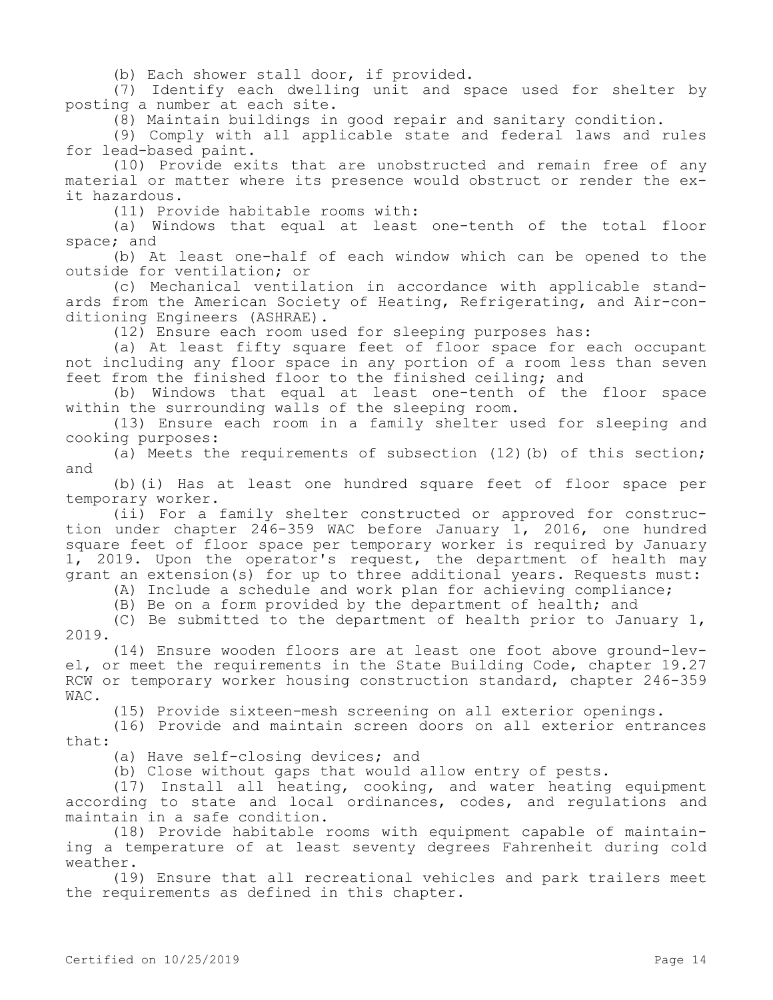(b) Each shower stall door, if provided.

(7) Identify each dwelling unit and space used for shelter by posting a number at each site.

(8) Maintain buildings in good repair and sanitary condition.

(9) Comply with all applicable state and federal laws and rules for lead-based paint.

(10) Provide exits that are unobstructed and remain free of any material or matter where its presence would obstruct or render the exit hazardous.

(11) Provide habitable rooms with:

(a) Windows that equal at least one-tenth of the total floor space; and

(b) At least one-half of each window which can be opened to the outside for ventilation; or

(c) Mechanical ventilation in accordance with applicable standards from the American Society of Heating, Refrigerating, and Air-conditioning Engineers (ASHRAE).

(12) Ensure each room used for sleeping purposes has:

(a) At least fifty square feet of floor space for each occupant not including any floor space in any portion of a room less than seven feet from the finished floor to the finished ceiling; and

(b) Windows that equal at least one-tenth of the floor space within the surrounding walls of the sleeping room.

(13) Ensure each room in a family shelter used for sleeping and cooking purposes:

(a) Meets the requirements of subsection (12)(b) of this section; and

(b)(i) Has at least one hundred square feet of floor space per temporary worker.

(ii) For a family shelter constructed or approved for construction under chapter 246-359 WAC before January 1, 2016, one hundred square feet of floor space per temporary worker is required by January 1, 2019. Upon the operator's request, the department of health may grant an extension(s) for up to three additional years. Requests must:

(A) Include a schedule and work plan for achieving compliance;

(B) Be on a form provided by the department of health; and

(C) Be submitted to the department of health prior to January 1, 2019.

(14) Ensure wooden floors are at least one foot above ground-level, or meet the requirements in the State Building Code, chapter 19.27 RCW or temporary worker housing construction standard, chapter 246-359 WAC.

(15) Provide sixteen-mesh screening on all exterior openings.

(16) Provide and maintain screen doors on all exterior entrances that:

(a) Have self-closing devices; and

(b) Close without gaps that would allow entry of pests.

(17) Install all heating, cooking, and water heating equipment according to state and local ordinances, codes, and regulations and maintain in a safe condition.

(18) Provide habitable rooms with equipment capable of maintaining a temperature of at least seventy degrees Fahrenheit during cold weather.

(19) Ensure that all recreational vehicles and park trailers meet the requirements as defined in this chapter.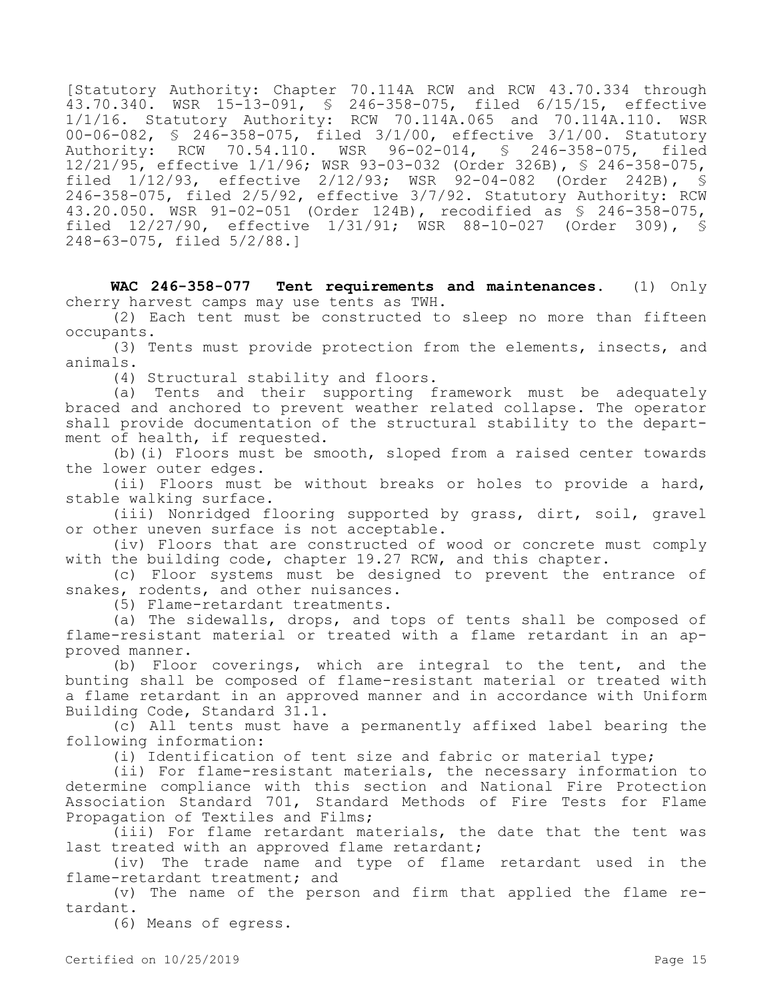[Statutory Authority: Chapter 70.114A RCW and RCW 43.70.334 through 43.70.340. WSR 15-13-091, § 246-358-075, filed 6/15/15, effective 1/1/16. Statutory Authority: RCW 70.114A.065 and 70.114A.110. WSR 00-06-082, § 246-358-075, filed 3/1/00, effective 3/1/00. Statutory Authority: RCW 70.54.110. WSR 96-02-014, § 246-358-075, filed 12/21/95, effective 1/1/96; WSR 93-03-032 (Order 326B), § 246-358-075, filed 1/12/93, effective 2/12/93; WSR 92-04-082 (Order 242B), § 246-358-075, filed 2/5/92, effective 3/7/92. Statutory Authority: RCW 43.20.050. WSR 91-02-051 (Order 124B), recodified as § 246-358-075, filed 12/27/90, effective 1/31/91; WSR 88-10-027 (Order 309), § 248-63-075, filed 5/2/88.]

**WAC 246-358-077 Tent requirements and maintenances.** (1) Only cherry harvest camps may use tents as TWH.

(2) Each tent must be constructed to sleep no more than fifteen occupants.

(3) Tents must provide protection from the elements, insects, and animals.

(4) Structural stability and floors.

(a) Tents and their supporting framework must be adequately braced and anchored to prevent weather related collapse. The operator shall provide documentation of the structural stability to the department of health, if requested.

(b)(i) Floors must be smooth, sloped from a raised center towards the lower outer edges.

(ii) Floors must be without breaks or holes to provide a hard, stable walking surface.

(iii) Nonridged flooring supported by grass, dirt, soil, gravel or other uneven surface is not acceptable.

(iv) Floors that are constructed of wood or concrete must comply with the building code, chapter 19.27 RCW, and this chapter.

(c) Floor systems must be designed to prevent the entrance of snakes, rodents, and other nuisances.

(5) Flame-retardant treatments.

(a) The sidewalls, drops, and tops of tents shall be composed of flame-resistant material or treated with a flame retardant in an approved manner.

(b) Floor coverings, which are integral to the tent, and the bunting shall be composed of flame-resistant material or treated with a flame retardant in an approved manner and in accordance with Uniform Building Code, Standard 31.1.

(c) All tents must have a permanently affixed label bearing the following information:

(i) Identification of tent size and fabric or material type;

(ii) For flame-resistant materials, the necessary information to determine compliance with this section and National Fire Protection Association Standard 701, Standard Methods of Fire Tests for Flame Propagation of Textiles and Films;

(iii) For flame retardant materials, the date that the tent was last treated with an approved flame retardant;

(iv) The trade name and type of flame retardant used in the flame-retardant treatment; and

(v) The name of the person and firm that applied the flame retardant.

(6) Means of egress.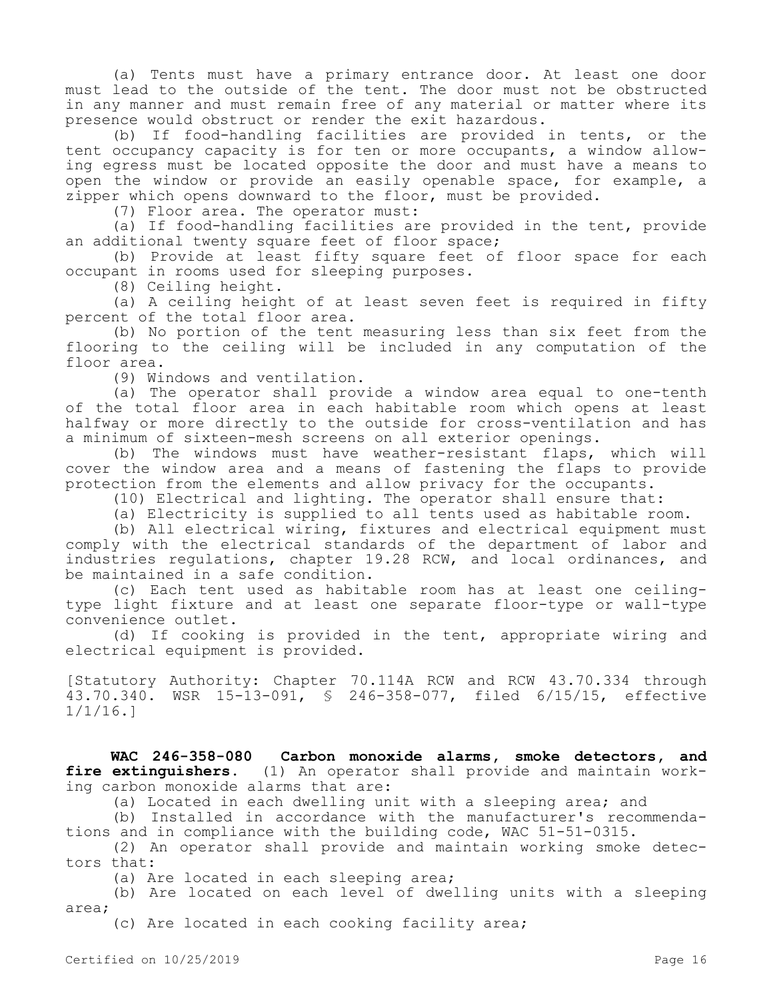(a) Tents must have a primary entrance door. At least one door must lead to the outside of the tent. The door must not be obstructed in any manner and must remain free of any material or matter where its presence would obstruct or render the exit hazardous.

(b) If food-handling facilities are provided in tents, or the tent occupancy capacity is for ten or more occupants, a window allowing egress must be located opposite the door and must have a means to open the window or provide an easily openable space, for example, a zipper which opens downward to the floor, must be provided.

(7) Floor area. The operator must:

(a) If food-handling facilities are provided in the tent, provide an additional twenty square feet of floor space;

(b) Provide at least fifty square feet of floor space for each occupant in rooms used for sleeping purposes.

(8) Ceiling height.

(a) A ceiling height of at least seven feet is required in fifty percent of the total floor area.

(b) No portion of the tent measuring less than six feet from the flooring to the ceiling will be included in any computation of the floor area.

(9) Windows and ventilation.

(a) The operator shall provide a window area equal to one-tenth of the total floor area in each habitable room which opens at least halfway or more directly to the outside for cross-ventilation and has a minimum of sixteen-mesh screens on all exterior openings.

(b) The windows must have weather-resistant flaps, which will cover the window area and a means of fastening the flaps to provide protection from the elements and allow privacy for the occupants.

(10) Electrical and lighting. The operator shall ensure that:

(a) Electricity is supplied to all tents used as habitable room.

(b) All electrical wiring, fixtures and electrical equipment must comply with the electrical standards of the department of labor and industries regulations, chapter 19.28 RCW, and local ordinances, and be maintained in a safe condition.

(c) Each tent used as habitable room has at least one ceilingtype light fixture and at least one separate floor-type or wall-type convenience outlet.

(d) If cooking is provided in the tent, appropriate wiring and electrical equipment is provided.

[Statutory Authority: Chapter 70.114A RCW and RCW 43.70.334 through 43.70.340. WSR 15-13-091, § 246-358-077, filed 6/15/15, effective 1/1/16.]

**WAC 246-358-080 Carbon monoxide alarms, smoke detectors, and fire extinguishers.** (1) An operator shall provide and maintain working carbon monoxide alarms that are:

(a) Located in each dwelling unit with a sleeping area; and

(b) Installed in accordance with the manufacturer's recommendations and in compliance with the building code, WAC 51-51-0315.

(2) An operator shall provide and maintain working smoke detectors that:

(a) Are located in each sleeping area;

(b) Are located on each level of dwelling units with a sleeping area;

(c) Are located in each cooking facility area;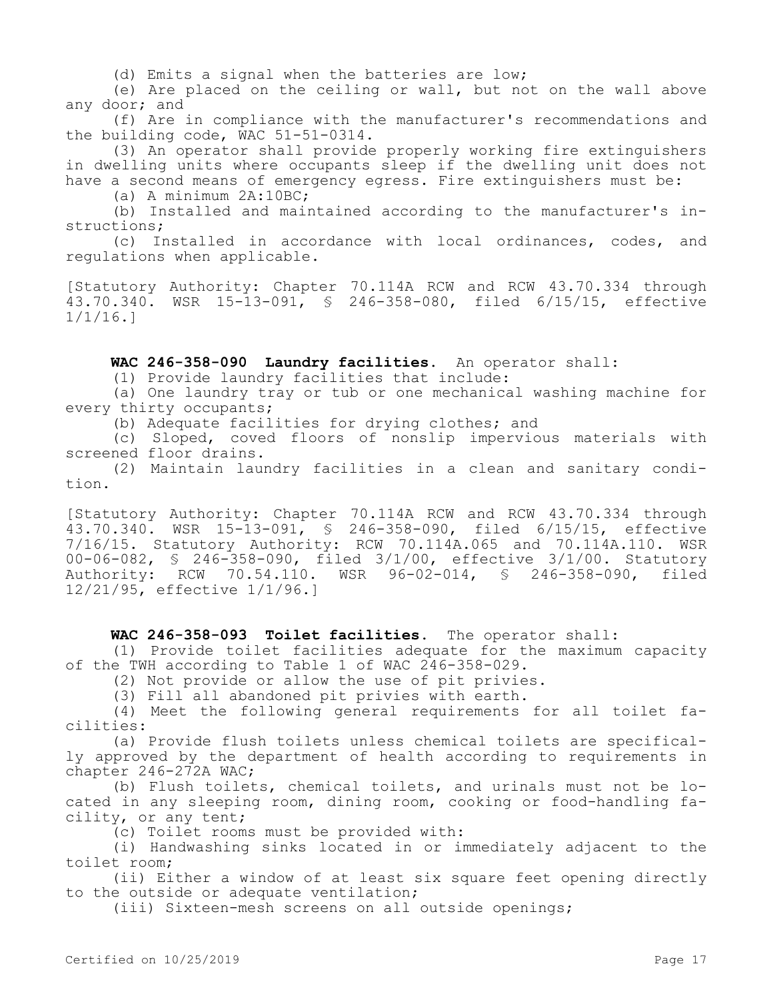(d) Emits a signal when the batteries are low;

(e) Are placed on the ceiling or wall, but not on the wall above any door; and

(f) Are in compliance with the manufacturer's recommendations and the building code, WAC 51-51-0314.

(3) An operator shall provide properly working fire extinguishers in dwelling units where occupants sleep if the dwelling unit does not have a second means of emergency egress. Fire extinguishers must be:

(a) A minimum 2A:10BC;

(b) Installed and maintained according to the manufacturer's instructions;

(c) Installed in accordance with local ordinances, codes, and regulations when applicable.

[Statutory Authority: Chapter 70.114A RCW and RCW 43.70.334 through 43.70.340. WSR 15-13-091, § 246-358-080, filed 6/15/15, effective 1/1/16.]

**WAC 246-358-090 Laundry facilities.** An operator shall:

(1) Provide laundry facilities that include:

(a) One laundry tray or tub or one mechanical washing machine for every thirty occupants;

(b) Adequate facilities for drying clothes; and

(c) Sloped, coved floors of nonslip impervious materials with screened floor drains.

(2) Maintain laundry facilities in a clean and sanitary condition.

[Statutory Authority: Chapter 70.114A RCW and RCW 43.70.334 through 43.70.340. WSR 15-13-091, § 246-358-090, filed 6/15/15, effective 7/16/15. Statutory Authority: RCW 70.114A.065 and 70.114A.110. WSR 00-06-082, § 246-358-090, filed 3/1/00, effective 3/1/00. Statutory Authority: RCW 70.54.110. WSR 96-02-014, § 246-358-090, filed 12/21/95, effective 1/1/96.]

### **WAC 246-358-093 Toilet facilities.** The operator shall:

(1) Provide toilet facilities adequate for the maximum capacity of the TWH according to Table 1 of WAC 246-358-029.

(2) Not provide or allow the use of pit privies.

(3) Fill all abandoned pit privies with earth.

(4) Meet the following general requirements for all toilet facilities:

(a) Provide flush toilets unless chemical toilets are specifically approved by the department of health according to requirements in chapter 246-272A WAC;

(b) Flush toilets, chemical toilets, and urinals must not be located in any sleeping room, dining room, cooking or food-handling facility, or any tent;

(c) Toilet rooms must be provided with:

(i) Handwashing sinks located in or immediately adjacent to the toilet room;

(ii) Either a window of at least six square feet opening directly to the outside or adequate ventilation;

(iii) Sixteen-mesh screens on all outside openings;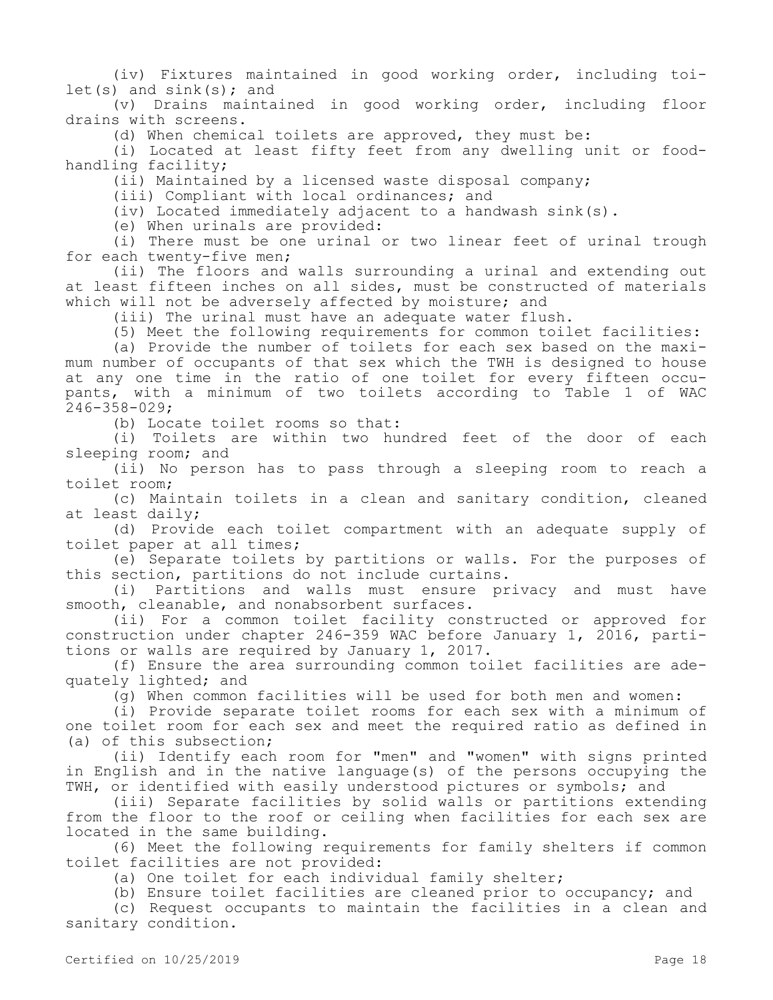(iv) Fixtures maintained in good working order, including toi $let(s)$  and  $sink(s)$ ; and

(v) Drains maintained in good working order, including floor drains with screens.

(d) When chemical toilets are approved, they must be:

(i) Located at least fifty feet from any dwelling unit or foodhandling facility;

(ii) Maintained by a licensed waste disposal company;

(iii) Compliant with local ordinances; and

(iv) Located immediately adjacent to a handwash sink(s).

(e) When urinals are provided:

(i) There must be one urinal or two linear feet of urinal trough for each twenty-five men;

(ii) The floors and walls surrounding a urinal and extending out at least fifteen inches on all sides, must be constructed of materials which will not be adversely affected by moisture; and

(iii) The urinal must have an adequate water flush.

(5) Meet the following requirements for common toilet facilities:

(a) Provide the number of toilets for each sex based on the maximum number of occupants of that sex which the TWH is designed to house at any one time in the ratio of one toilet for every fifteen occupants, with a minimum of two toilets according to Table 1 of WAC 246-358-029;

(b) Locate toilet rooms so that:

(i) Toilets are within two hundred feet of the door of each sleeping room; and

(ii) No person has to pass through a sleeping room to reach a toilet room;

(c) Maintain toilets in a clean and sanitary condition, cleaned at least daily;

(d) Provide each toilet compartment with an adequate supply of toilet paper at all times;

(e) Separate toilets by partitions or walls. For the purposes of this section, partitions do not include curtains.

(i) Partitions and walls must ensure privacy and must have smooth, cleanable, and nonabsorbent surfaces.

(ii) For a common toilet facility constructed or approved for construction under chapter 246-359 WAC before January 1, 2016, partitions or walls are required by January 1, 2017.

(f) Ensure the area surrounding common toilet facilities are adequately lighted; and

(g) When common facilities will be used for both men and women:

(i) Provide separate toilet rooms for each sex with a minimum of one toilet room for each sex and meet the required ratio as defined in (a) of this subsection;

(ii) Identify each room for "men" and "women" with signs printed in English and in the native language(s) of the persons occupying the TWH, or identified with easily understood pictures or symbols; and

(iii) Separate facilities by solid walls or partitions extending from the floor to the roof or ceiling when facilities for each sex are located in the same building.

(6) Meet the following requirements for family shelters if common toilet facilities are not provided:

(a) One toilet for each individual family shelter;

(b) Ensure toilet facilities are cleaned prior to occupancy; and

(c) Request occupants to maintain the facilities in a clean and sanitary condition.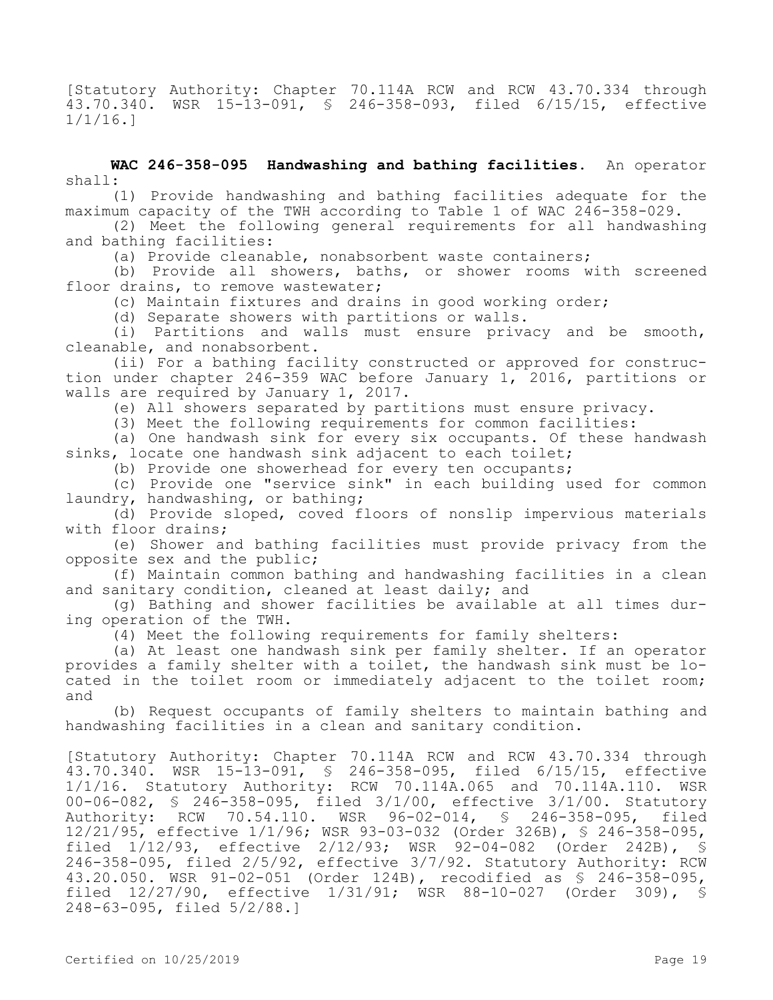[Statutory Authority: Chapter 70.114A RCW and RCW 43.70.334 through 43.70.340. WSR 15-13-091, § 246-358-093, filed 6/15/15, effective 1/1/16.]

**WAC 246-358-095 Handwashing and bathing facilities.** An operator shall:

(1) Provide handwashing and bathing facilities adequate for the maximum capacity of the TWH according to Table 1 of WAC 246-358-029.

(2) Meet the following general requirements for all handwashing and bathing facilities:

(a) Provide cleanable, nonabsorbent waste containers;

(b) Provide all showers, baths, or shower rooms with screened floor drains, to remove wastewater;

(c) Maintain fixtures and drains in good working order;

(d) Separate showers with partitions or walls.

(i) Partitions and walls must ensure privacy and be smooth, cleanable, and nonabsorbent.

(ii) For a bathing facility constructed or approved for construction under chapter 246-359 WAC before January 1, 2016, partitions or walls are required by January 1, 2017.

(e) All showers separated by partitions must ensure privacy.

(3) Meet the following requirements for common facilities:

(a) One handwash sink for every six occupants. Of these handwash sinks, locate one handwash sink adjacent to each toilet;

(b) Provide one showerhead for every ten occupants;

(c) Provide one "service sink" in each building used for common laundry, handwashing, or bathing;

(d) Provide sloped, coved floors of nonslip impervious materials with floor drains;

(e) Shower and bathing facilities must provide privacy from the opposite sex and the public;

(f) Maintain common bathing and handwashing facilities in a clean and sanitary condition, cleaned at least daily; and

(g) Bathing and shower facilities be available at all times during operation of the TWH.

(4) Meet the following requirements for family shelters:

(a) At least one handwash sink per family shelter. If an operator provides a family shelter with a toilet, the handwash sink must be located in the toilet room or immediately adjacent to the toilet room; and

(b) Request occupants of family shelters to maintain bathing and handwashing facilities in a clean and sanitary condition.

[Statutory Authority: Chapter 70.114A RCW and RCW 43.70.334 through 43.70.340. WSR 15-13-091, § 246-358-095, filed 6/15/15, effective 1/1/16. Statutory Authority: RCW 70.114A.065 and 70.114A.110. WSR 00-06-082, § 246-358-095, filed 3/1/00, effective 3/1/00. Statutory Authority: RCW 70.54.110. WSR 96-02-014, § 246-358-095, filed 12/21/95, effective 1/1/96; WSR 93-03-032 (Order 326B), § 246-358-095, filed 1/12/93, effective 2/12/93; WSR 92-04-082 (Order 242B), § 246-358-095, filed 2/5/92, effective 3/7/92. Statutory Authority: RCW 43.20.050. WSR 91-02-051 (Order 124B), recodified as § 246-358-095, filed 12/27/90, effective 1/31/91; WSR 88-10-027 (Order 309), § 248-63-095, filed 5/2/88.]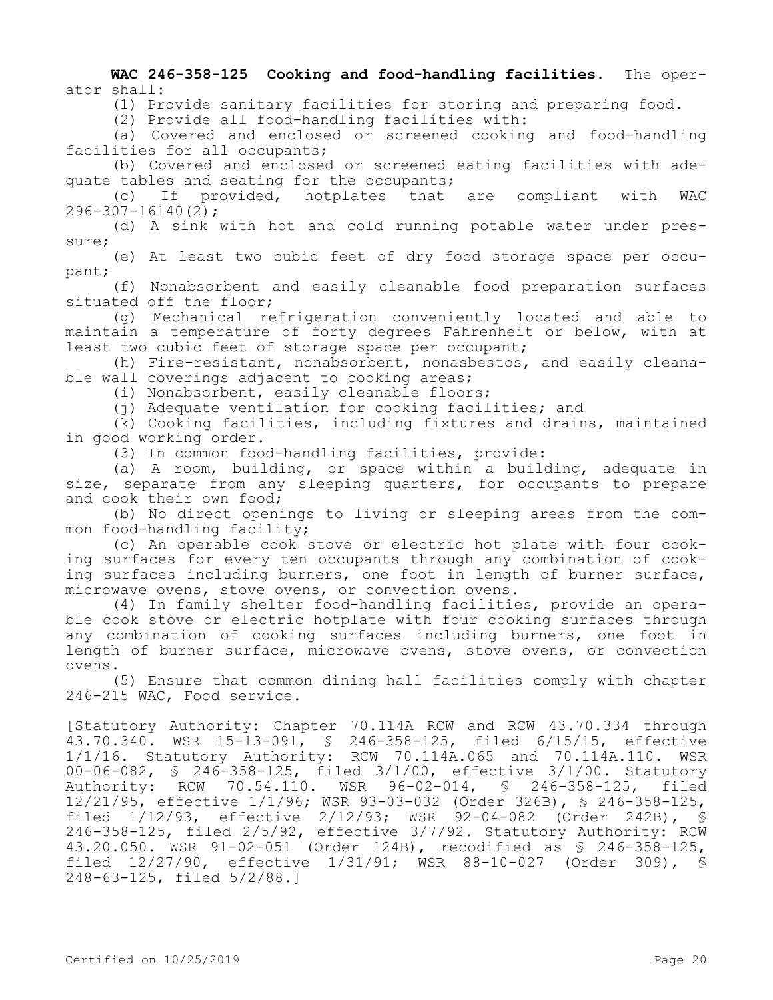**WAC 246-358-125 Cooking and food-handling facilities.** The operator shall:

(1) Provide sanitary facilities for storing and preparing food.

(2) Provide all food-handling facilities with:

(a) Covered and enclosed or screened cooking and food-handling facilities for all occupants;

(b) Covered and enclosed or screened eating facilities with adequate tables and seating for the occupants;

(c) If provided, hotplates that are compliant with WAC 296-307-16140(2);

(d) A sink with hot and cold running potable water under pressure;

(e) At least two cubic feet of dry food storage space per occupant;

(f) Nonabsorbent and easily cleanable food preparation surfaces situated off the floor;

(g) Mechanical refrigeration conveniently located and able to maintain a temperature of forty degrees Fahrenheit or below, with at least two cubic feet of storage space per occupant;

(h) Fire-resistant, nonabsorbent, nonasbestos, and easily cleanable wall coverings adjacent to cooking areas;

(i) Nonabsorbent, easily cleanable floors;

(j) Adequate ventilation for cooking facilities; and

(k) Cooking facilities, including fixtures and drains, maintained in good working order.

(3) In common food-handling facilities, provide:

(a) A room, building, or space within a building, adequate in size, separate from any sleeping quarters, for occupants to prepare and cook their own food;

(b) No direct openings to living or sleeping areas from the common food-handling facility;

(c) An operable cook stove or electric hot plate with four cooking surfaces for every ten occupants through any combination of cooking surfaces including burners, one foot in length of burner surface, microwave ovens, stove ovens, or convection ovens.

(4) In family shelter food-handling facilities, provide an operable cook stove or electric hotplate with four cooking surfaces through any combination of cooking surfaces including burners, one foot in length of burner surface, microwave ovens, stove ovens, or convection ovens.

(5) Ensure that common dining hall facilities comply with chapter 246-215 WAC, Food service.

[Statutory Authority: Chapter 70.114A RCW and RCW 43.70.334 through 43.70.340. WSR 15-13-091, § 246-358-125, filed 6/15/15, effective 1/1/16. Statutory Authority: RCW 70.114A.065 and 70.114A.110. WSR 00-06-082, § 246-358-125, filed 3/1/00, effective 3/1/00. Statutory Authority: RCW 70.54.110. WSR 96-02-014, § 246-358-125, filed 12/21/95, effective 1/1/96; WSR 93-03-032 (Order 326B), § 246-358-125, filed 1/12/93, effective 2/12/93; WSR 92-04-082 (Order 242B), § 246-358-125, filed 2/5/92, effective 3/7/92. Statutory Authority: RCW 43.20.050. WSR 91-02-051 (Order 124B), recodified as § 246-358-125, filed 12/27/90, effective 1/31/91; WSR 88-10-027 (Order 309), § 248-63-125, filed 5/2/88.]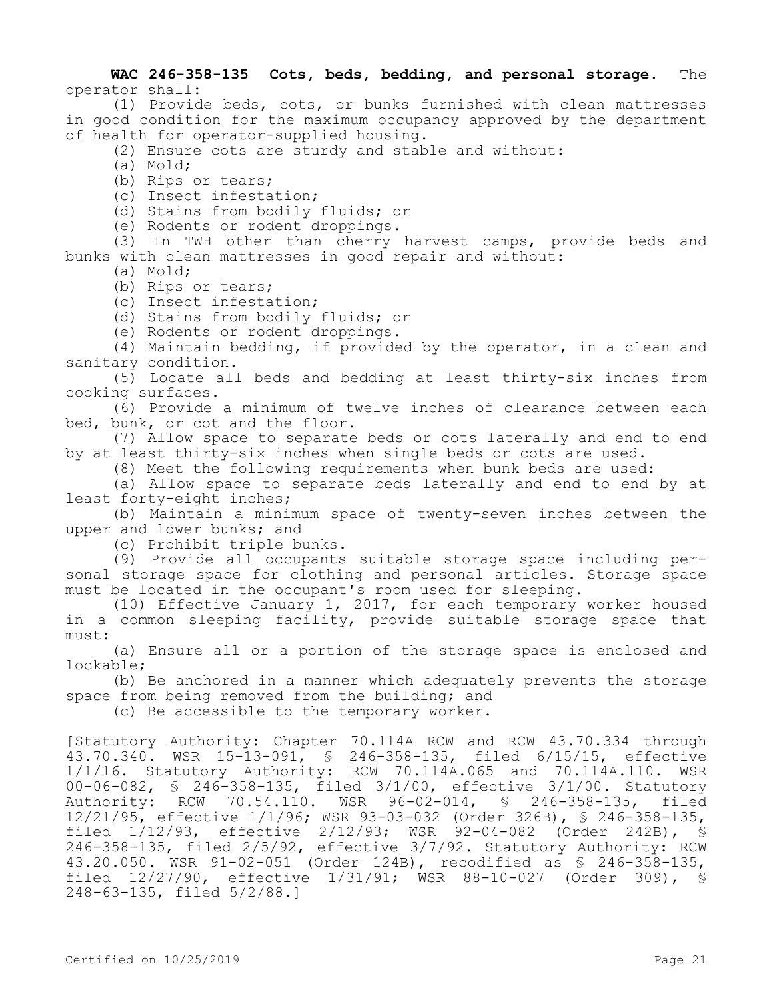## **WAC 246-358-135 Cots, beds, bedding, and personal storage.** The operator shall:

(1) Provide beds, cots, or bunks furnished with clean mattresses in good condition for the maximum occupancy approved by the department of health for operator-supplied housing.

- (2) Ensure cots are sturdy and stable and without:
- (a) Mold;

(b) Rips or tears;

(c) Insect infestation;

(d) Stains from bodily fluids; or

(e) Rodents or rodent droppings.

(3) In TWH other than cherry harvest camps, provide beds and bunks with clean mattresses in good repair and without:

- (a) Mold;
- (b) Rips or tears;
- (c) Insect infestation;
- (d) Stains from bodily fluids; or
- (e) Rodents or rodent droppings.

(4) Maintain bedding, if provided by the operator, in a clean and sanitary condition.

(5) Locate all beds and bedding at least thirty-six inches from cooking surfaces.

(6) Provide a minimum of twelve inches of clearance between each bed, bunk, or cot and the floor.

(7) Allow space to separate beds or cots laterally and end to end by at least thirty-six inches when single beds or cots are used.

(8) Meet the following requirements when bunk beds are used:

(a) Allow space to separate beds laterally and end to end by at least forty-eight inches;

(b) Maintain a minimum space of twenty-seven inches between the upper and lower bunks; and

(c) Prohibit triple bunks.

(9) Provide all occupants suitable storage space including personal storage space for clothing and personal articles. Storage space must be located in the occupant's room used for sleeping.

(10) Effective January 1, 2017, for each temporary worker housed in a common sleeping facility, provide suitable storage space that must:

(a) Ensure all or a portion of the storage space is enclosed and lockable;

(b) Be anchored in a manner which adequately prevents the storage space from being removed from the building; and

(c) Be accessible to the temporary worker.

[Statutory Authority: Chapter 70.114A RCW and RCW 43.70.334 through 43.70.340. WSR 15-13-091, § 246-358-135, filed 6/15/15, effective 1/1/16. Statutory Authority: RCW 70.114A.065 and 70.114A.110. WSR 00-06-082, § 246-358-135, filed 3/1/00, effective 3/1/00. Statutory Authority: RCW 70.54.110. WSR 96-02-014, § 246-358-135, filed 12/21/95, effective 1/1/96; WSR 93-03-032 (Order 326B), § 246-358-135, filed 1/12/93, effective 2/12/93; WSR 92-04-082 (Order 242B), § 246-358-135, filed 2/5/92, effective 3/7/92. Statutory Authority: RCW 43.20.050. WSR 91-02-051 (Order 124B), recodified as § 246-358-135, filed 12/27/90, effective 1/31/91; WSR 88-10-027 (Order 309), § 248-63-135, filed 5/2/88.]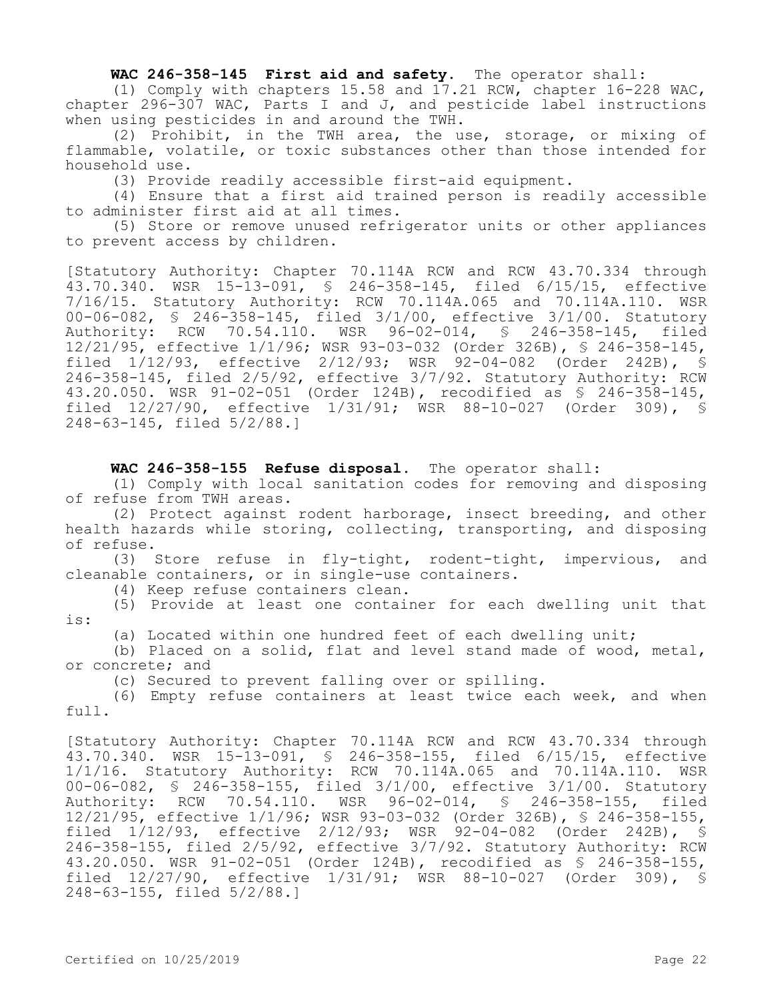#### **WAC 246-358-145 First aid and safety.** The operator shall:

(1) Comply with chapters 15.58 and 17.21 RCW, chapter 16-228 WAC, chapter 296-307 WAC, Parts I and J, and pesticide label instructions when using pesticides in and around the TWH.

(2) Prohibit, in the TWH area, the use, storage, or mixing of flammable, volatile, or toxic substances other than those intended for household use.

(3) Provide readily accessible first-aid equipment.

(4) Ensure that a first aid trained person is readily accessible to administer first aid at all times.

(5) Store or remove unused refrigerator units or other appliances to prevent access by children.

[Statutory Authority: Chapter 70.114A RCW and RCW 43.70.334 through 43.70.340. WSR 15-13-091, § 246-358-145, filed 6/15/15, effective 7/16/15. Statutory Authority: RCW 70.114A.065 and 70.114A.110. WSR 00-06-082, § 246-358-145, filed 3/1/00, effective 3/1/00. Statutory Authority: RCW 70.54.110. WSR 96-02-014, § 246-358-145, filed 12/21/95, effective 1/1/96; WSR 93-03-032 (Order 326B), § 246-358-145, filed 1/12/93, effective 2/12/93; WSR 92-04-082 (Order 242B), § 246-358-145, filed 2/5/92, effective 3/7/92. Statutory Authority: RCW 43.20.050. WSR 91-02-051 (Order 124B), recodified as § 246-358-145, filed 12/27/90, effective 1/31/91; WSR 88-10-027 (Order 309), § 248-63-145, filed 5/2/88.]

#### WAC 246-358-155 Refuse disposal. The operator shall:

(1) Comply with local sanitation codes for removing and disposing of refuse from TWH areas.

(2) Protect against rodent harborage, insect breeding, and other health hazards while storing, collecting, transporting, and disposing of refuse.

(3) Store refuse in fly-tight, rodent-tight, impervious, and cleanable containers, or in single-use containers.

(4) Keep refuse containers clean.

(5) Provide at least one container for each dwelling unit that is:

(a) Located within one hundred feet of each dwelling unit;

(b) Placed on a solid, flat and level stand made of wood, metal, or concrete; and

(c) Secured to prevent falling over or spilling.

(6) Empty refuse containers at least twice each week, and when full.

[Statutory Authority: Chapter 70.114A RCW and RCW 43.70.334 through 43.70.340. WSR 15-13-091, § 246-358-155, filed 6/15/15, effective 1/1/16. Statutory Authority: RCW 70.114A.065 and 70.114A.110. WSR 00-06-082, § 246-358-155, filed 3/1/00, effective 3/1/00. Statutory Authority: RCW 70.54.110. WSR 96-02-014, § 246-358-155, filed 12/21/95, effective 1/1/96; WSR 93-03-032 (Order 326B), § 246-358-155, filed 1/12/93, effective 2/12/93; WSR 92-04-082 (Order 242B), § 246-358-155, filed 2/5/92, effective 3/7/92. Statutory Authority: RCW 43.20.050. WSR 91-02-051 (Order 124B), recodified as § 246-358-155, filed 12/27/90, effective 1/31/91; WSR 88-10-027 (Order 309), § 248-63-155, filed 5/2/88.]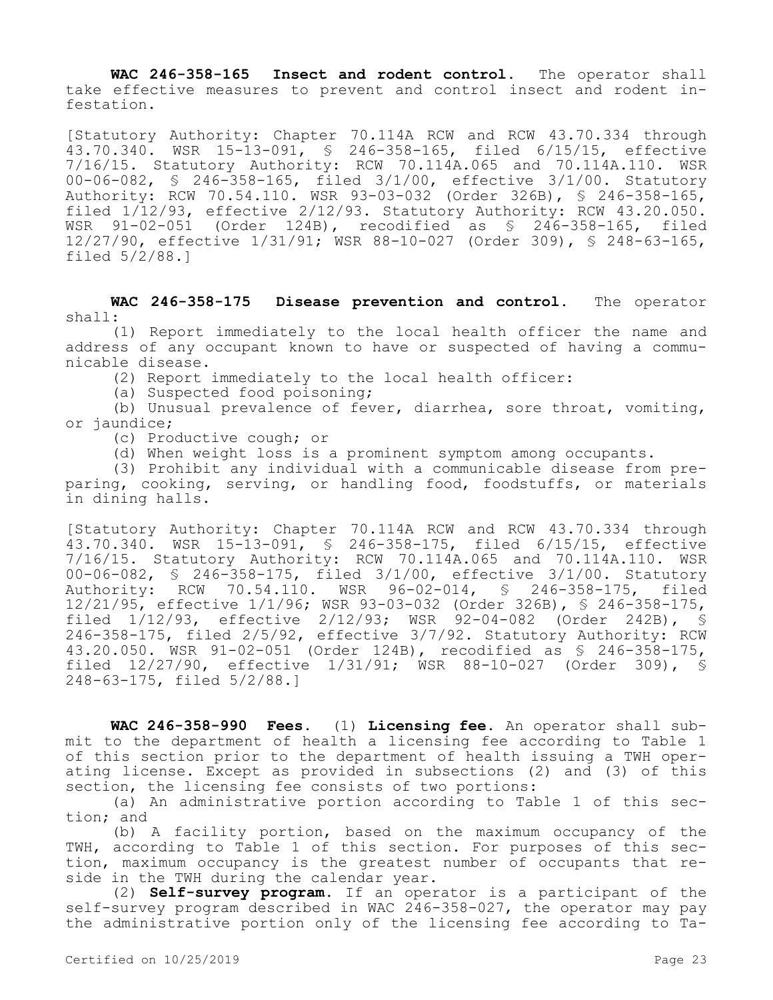**WAC 246-358-165 Insect and rodent control.** The operator shall take effective measures to prevent and control insect and rodent infestation.

[Statutory Authority: Chapter 70.114A RCW and RCW 43.70.334 through 43.70.340. WSR 15-13-091, § 246-358-165, filed 6/15/15, effective 7/16/15. Statutory Authority: RCW 70.114A.065 and 70.114A.110. WSR 00-06-082, § 246-358-165, filed 3/1/00, effective 3/1/00. Statutory Authority: RCW 70.54.110. WSR 93-03-032 (Order 326B), § 246-358-165, filed 1/12/93, effective 2/12/93. Statutory Authority: RCW 43.20.050. WSR 91-02-051 (Order 124B), recodified as § 246-358-165, filed 12/27/90, effective 1/31/91; WSR 88-10-027 (Order 309), § 248-63-165, filed 5/2/88.]

**WAC 246-358-175 Disease prevention and control.** The operator shall:

(1) Report immediately to the local health officer the name and address of any occupant known to have or suspected of having a communicable disease.

(2) Report immediately to the local health officer:

(a) Suspected food poisoning;

(b) Unusual prevalence of fever, diarrhea, sore throat, vomiting, or jaundice;

(c) Productive cough; or

(d) When weight loss is a prominent symptom among occupants.

(3) Prohibit any individual with a communicable disease from preparing, cooking, serving, or handling food, foodstuffs, or materials in dining halls.

[Statutory Authority: Chapter 70.114A RCW and RCW 43.70.334 through 43.70.340. WSR 15-13-091, § 246-358-175, filed 6/15/15, effective 7/16/15. Statutory Authority: RCW 70.114A.065 and 70.114A.110. WSR 00-06-082, § 246-358-175, filed 3/1/00, effective 3/1/00. Statutory Authority: RCW 70.54.110. WSR 96-02-014, § 246-358-175, filed 12/21/95, effective 1/1/96; WSR 93-03-032 (Order 326B), § 246-358-175, filed 1/12/93, effective 2/12/93; WSR 92-04-082 (Order 242B), § 246-358-175, filed 2/5/92, effective 3/7/92. Statutory Authority: RCW 43.20.050. WSR 91-02-051 (Order 124B), recodified as § 246-358-175, filed 12/27/90, effective 1/31/91; WSR 88-10-027 (Order 309), § 248-63-175, filed 5/2/88.]

**WAC 246-358-990 Fees.** (1) **Licensing fee.** An operator shall submit to the department of health a licensing fee according to Table 1 of this section prior to the department of health issuing a TWH operating license. Except as provided in subsections (2) and (3) of this section, the licensing fee consists of two portions:

(a) An administrative portion according to Table 1 of this section; and

(b) A facility portion, based on the maximum occupancy of the TWH, according to Table 1 of this section. For purposes of this section, maximum occupancy is the greatest number of occupants that reside in the TWH during the calendar year.

(2) **Self-survey program.** If an operator is a participant of the self-survey program described in WAC 246-358-027, the operator may pay the administrative portion only of the licensing fee according to Ta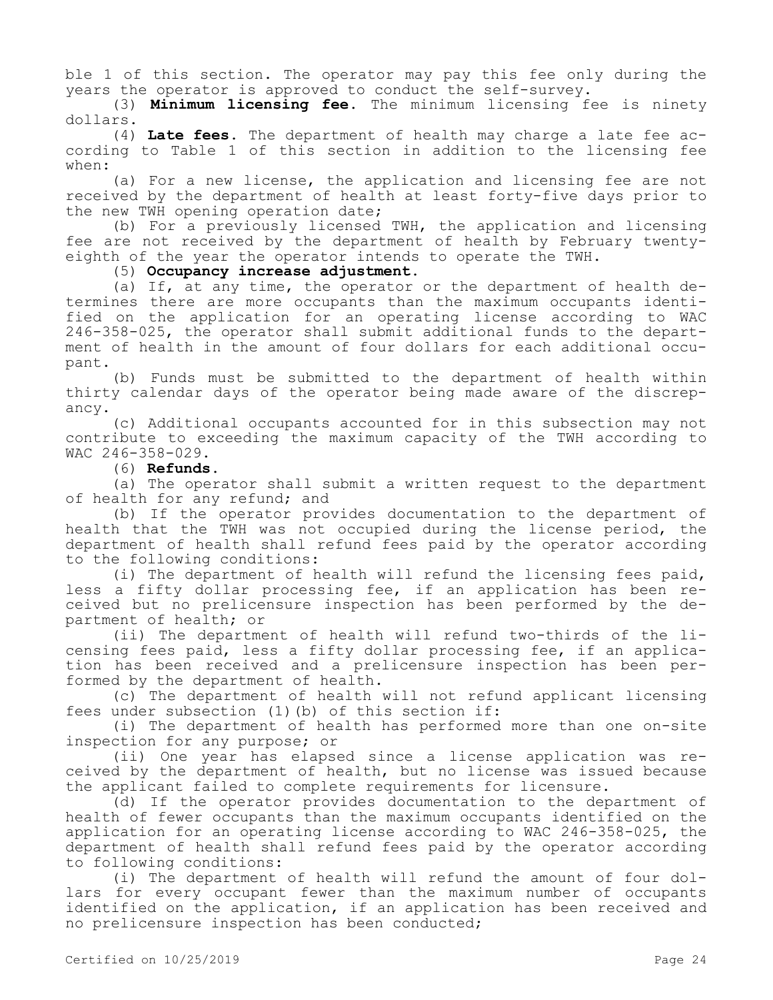ble 1 of this section. The operator may pay this fee only during the years the operator is approved to conduct the self-survey.

(3) **Minimum licensing fee.** The minimum licensing fee is ninety dollars.

(4) **Late fees.** The department of health may charge a late fee according to Table 1 of this section in addition to the licensing fee when:

(a) For a new license, the application and licensing fee are not received by the department of health at least forty-five days prior to the new TWH opening operation date;

(b) For a previously licensed TWH, the application and licensing fee are not received by the department of health by February twentyeighth of the year the operator intends to operate the TWH.

(5) **Occupancy increase adjustment.**

(a) If, at any time, the operator or the department of health determines there are more occupants than the maximum occupants identified on the application for an operating license according to WAC 246-358-025, the operator shall submit additional funds to the department of health in the amount of four dollars for each additional occupant.

(b) Funds must be submitted to the department of health within thirty calendar days of the operator being made aware of the discrepancy.

(c) Additional occupants accounted for in this subsection may not contribute to exceeding the maximum capacity of the TWH according to WAC 246-358-029.

### (6) **Refunds.**

(a) The operator shall submit a written request to the department of health for any refund; and

(b) If the operator provides documentation to the department of health that the TWH was not occupied during the license period, the department of health shall refund fees paid by the operator according to the following conditions:

(i) The department of health will refund the licensing fees paid, less a fifty dollar processing fee, if an application has been received but no prelicensure inspection has been performed by the department of health; or

(ii) The department of health will refund two-thirds of the licensing fees paid, less a fifty dollar processing fee, if an application has been received and a prelicensure inspection has been performed by the department of health.

(c) The department of health will not refund applicant licensing fees under subsection (1)(b) of this section if:

(i) The department of health has performed more than one on-site inspection for any purpose; or

(ii) One year has elapsed since a license application was received by the department of health, but no license was issued because the applicant failed to complete requirements for licensure.

(d) If the operator provides documentation to the department of health of fewer occupants than the maximum occupants identified on the application for an operating license according to WAC 246-358-025, the department of health shall refund fees paid by the operator according to following conditions:

(i) The department of health will refund the amount of four dollars for every occupant fewer than the maximum number of occupants identified on the application, if an application has been received and no prelicensure inspection has been conducted;